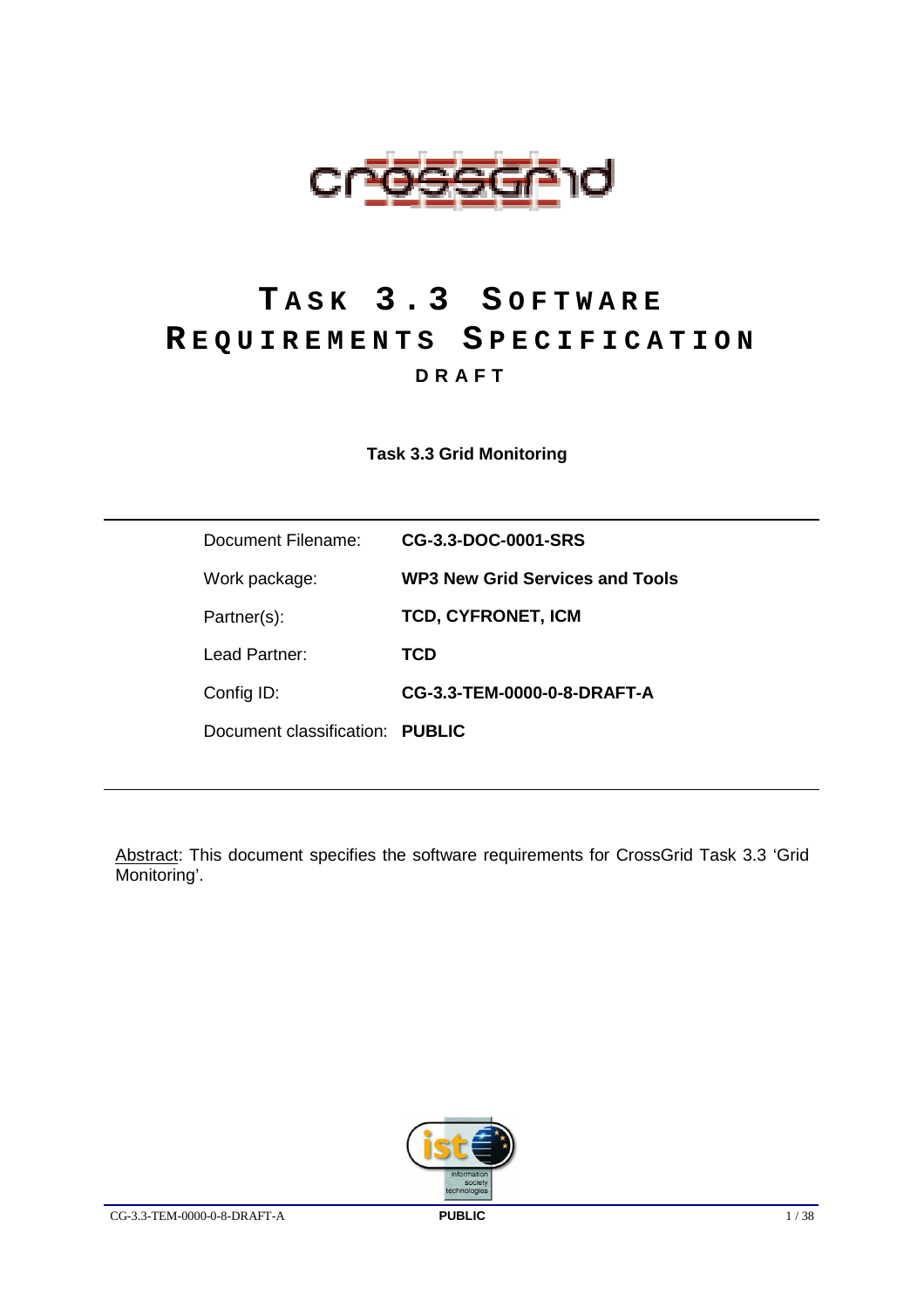

# **T ASK 3.3 S OFTWARE R EQUIREMENTS S PECIFICATION DRAFT**

 **Task 3.3 Grid Monitoring**

| Document Filename:              | CG-3.3-DOC-0001-SRS             |
|---------------------------------|---------------------------------|
| Work package:                   | WP3 New Grid Services and Tools |
| Partner(s):                     | <b>TCD, CYFRONET, ICM</b>       |
| Lead Partner:                   | TCD                             |
| Config ID:                      | CG-3.3-TEM-0000-0-8-DRAFT-A     |
| Document classification: PUBLIC |                                 |

Abstract: This document specifies the software requirements for CrossGrid Task 3.3 'Grid Monitoring'.

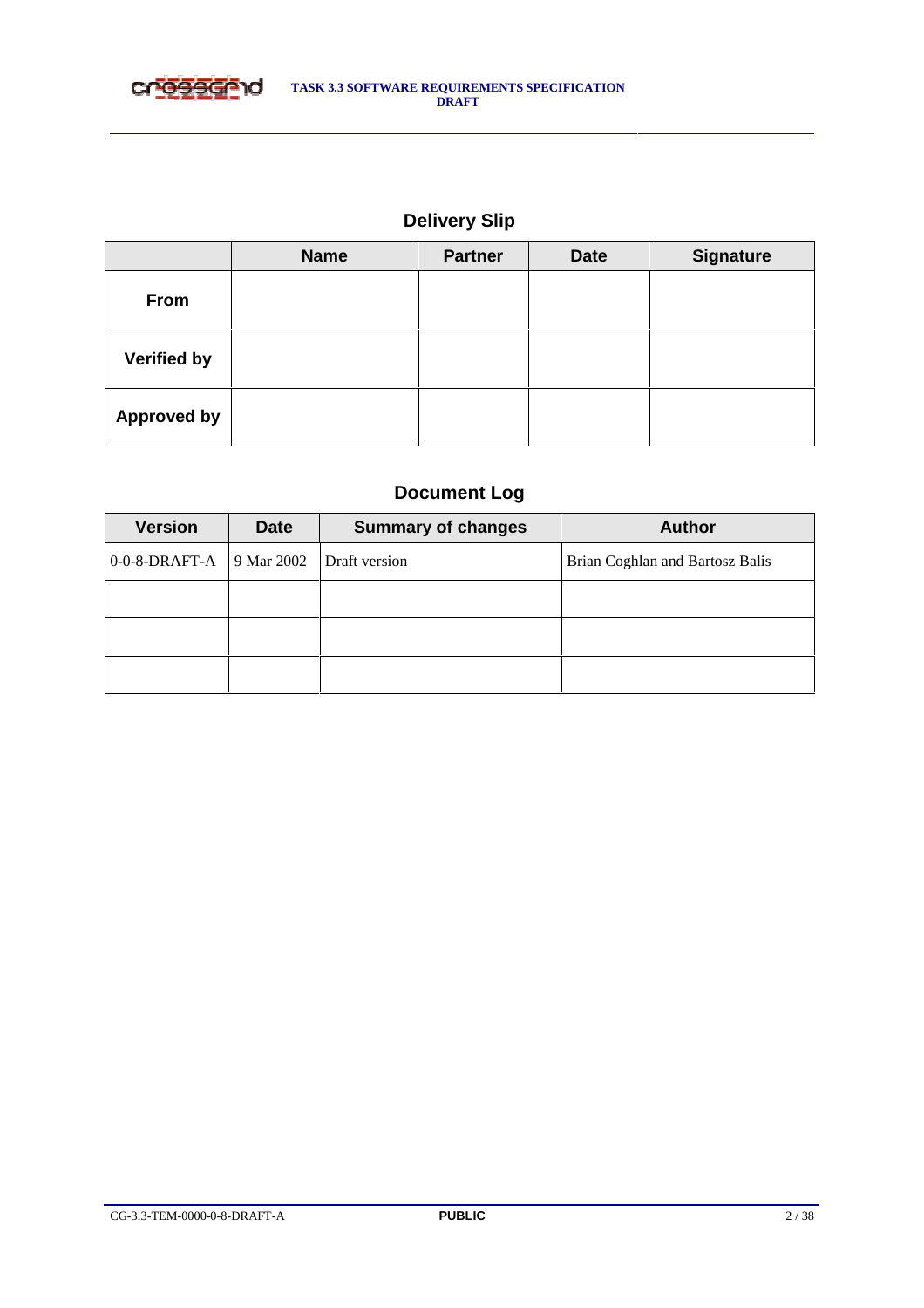# **Delivery Slip**

|                    | <b>Name</b> | <b>Partner</b> | <b>Date</b> | <b>Signature</b> |
|--------------------|-------------|----------------|-------------|------------------|
| <b>From</b>        |             |                |             |                  |
| <b>Verified by</b> |             |                |             |                  |
| <b>Approved by</b> |             |                |             |                  |

# **Document Log**

| <b>Version</b> | <b>Date</b> | <b>Summary of changes</b> | <b>Author</b>                   |
|----------------|-------------|---------------------------|---------------------------------|
| 0-0-8-DRAFT-A  | 9 Mar 2002  | Draft version             | Brian Coghlan and Bartosz Balis |
|                |             |                           |                                 |
|                |             |                           |                                 |
|                |             |                           |                                 |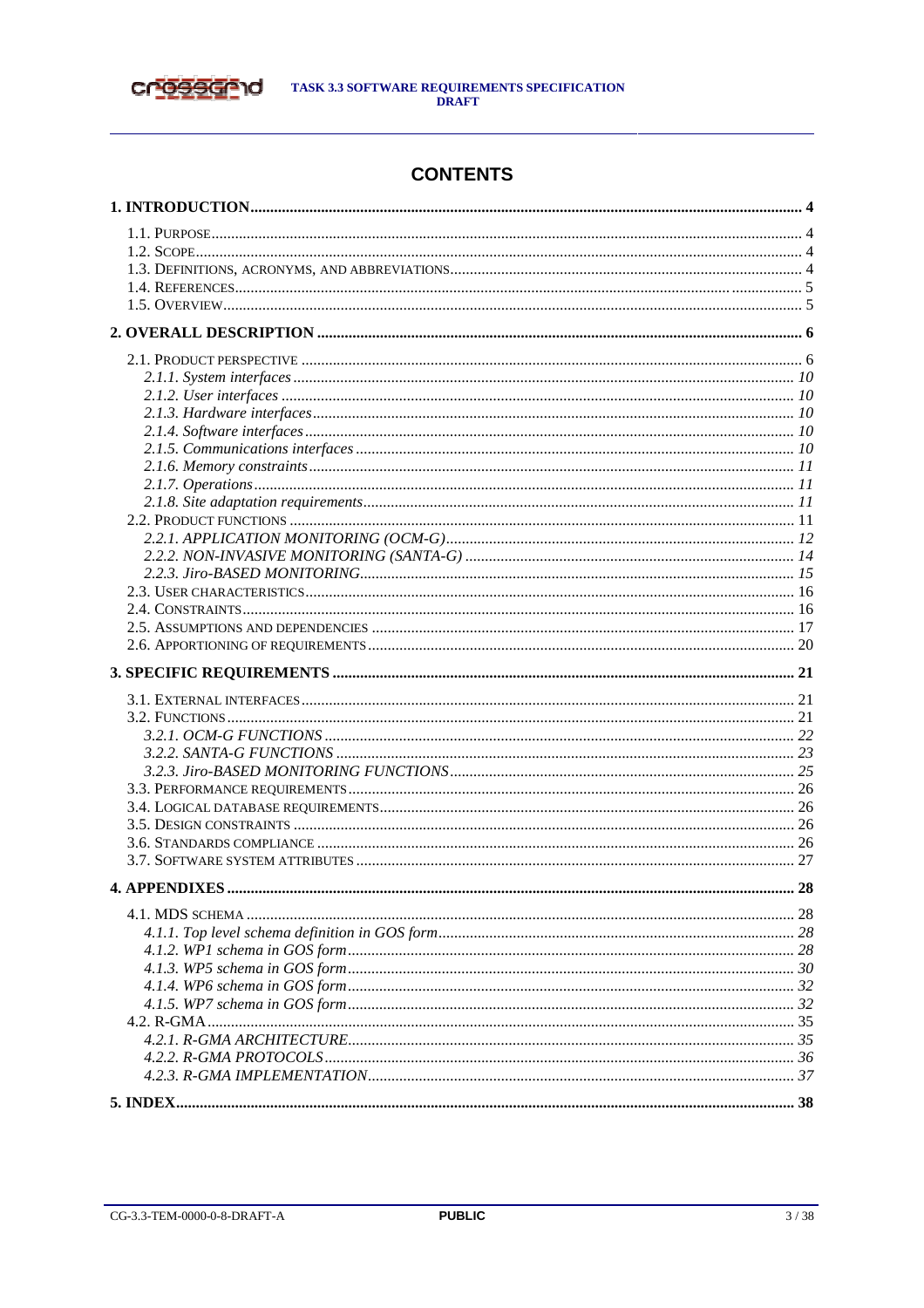

# **CONTENTS**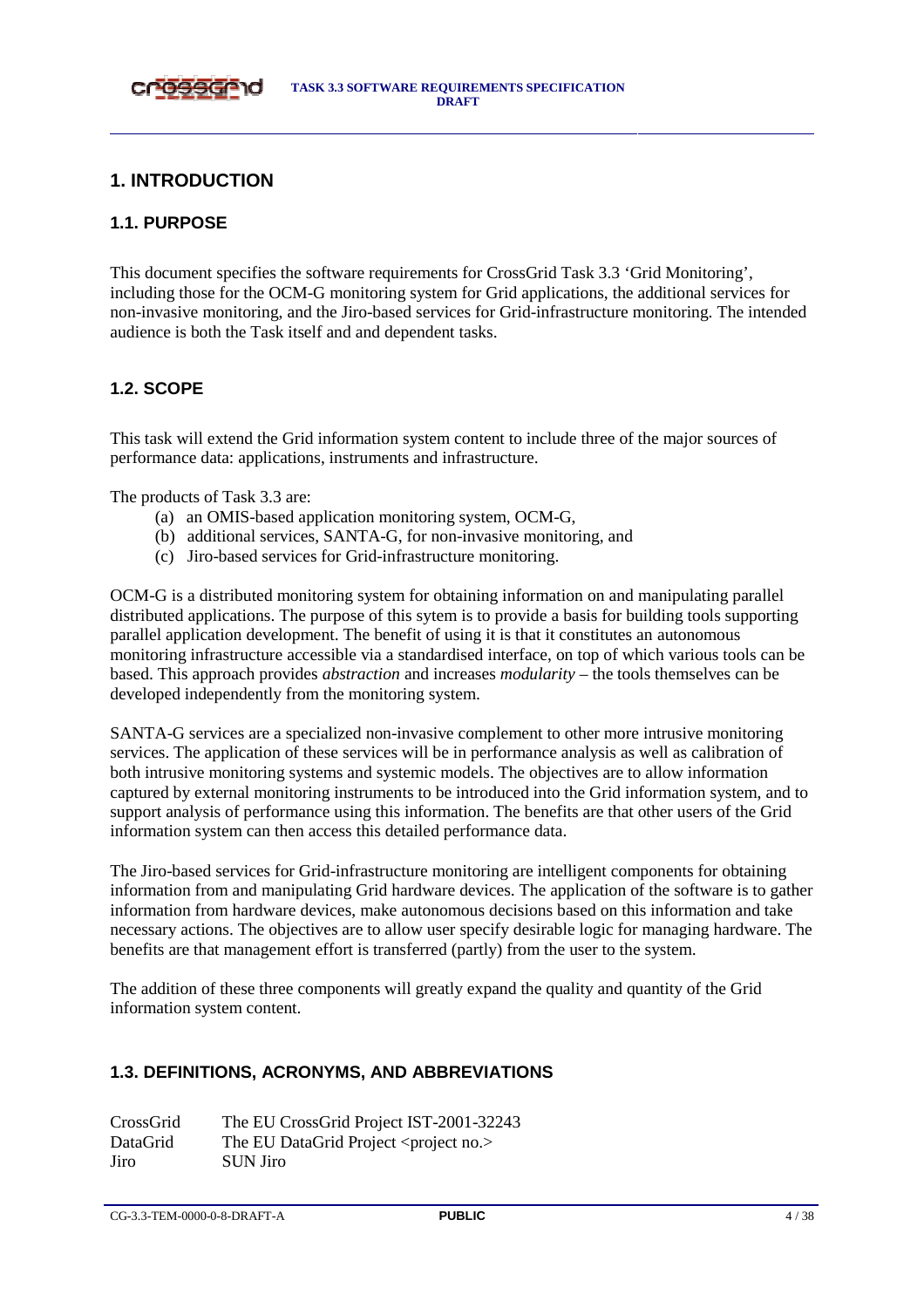# **1. INTRODUCTION**

### **1.1. PURPOSE**

This document specifies the software requirements for CrossGrid Task 3.3 'Grid Monitoring', including those for the OCM-G monitoring system for Grid applications, the additional services for non-invasive monitoring, and the Jiro-based services for Grid-infrastructure monitoring. The intended audience is both the Task itself and and dependent tasks.

#### **1.2. SCOPE**

This task will extend the Grid information system content to include three of the major sources of performance data: applications, instruments and infrastructure.

The products of Task 3.3 are:

- (a) an OMIS-based application monitoring system, OCM-G,
- (b) additional services, SANTA-G, for non-invasive monitoring, and
- (c) Jiro-based services for Grid-infrastructure monitoring.

OCM-G is a distributed monitoring system for obtaining information on and manipulating parallel distributed applications. The purpose of this sytem is to provide a basis for building tools supporting parallel application development. The benefit of using it is that it constitutes an autonomous monitoring infrastructure accessible via a standardised interface, on top of which various tools can be based. This approach provides *abstraction* and increases *modularity* – the tools themselves can be developed independently from the monitoring system.

SANTA-G services are a specialized non-invasive complement to other more intrusive monitoring services. The application of these services will be in performance analysis as well as calibration of both intrusive monitoring systems and systemic models. The objectives are to allow information captured by external monitoring instruments to be introduced into the Grid information system, and to support analysis of performance using this information. The benefits are that other users of the Grid information system can then access this detailed performance data.

The Jiro-based services for Grid-infrastructure monitoring are intelligent components for obtaining information from and manipulating Grid hardware devices. The application of the software is to gather information from hardware devices, make autonomous decisions based on this information and take necessary actions. The objectives are to allow user specify desirable logic for managing hardware. The benefits are that management effort is transferred (partly) from the user to the system.

The addition of these three components will greatly expand the quality and quantity of the Grid information system content.

#### **1.3. DEFINITIONS, ACRONYMS, AND ABBREVIATIONS**

| CrossGrid | The EU CrossGrid Project IST-2001-32243            |
|-----------|----------------------------------------------------|
| DataGrid  | The EU DataGrid Project <project no.=""></project> |
| Jiro      | SUN Jiro                                           |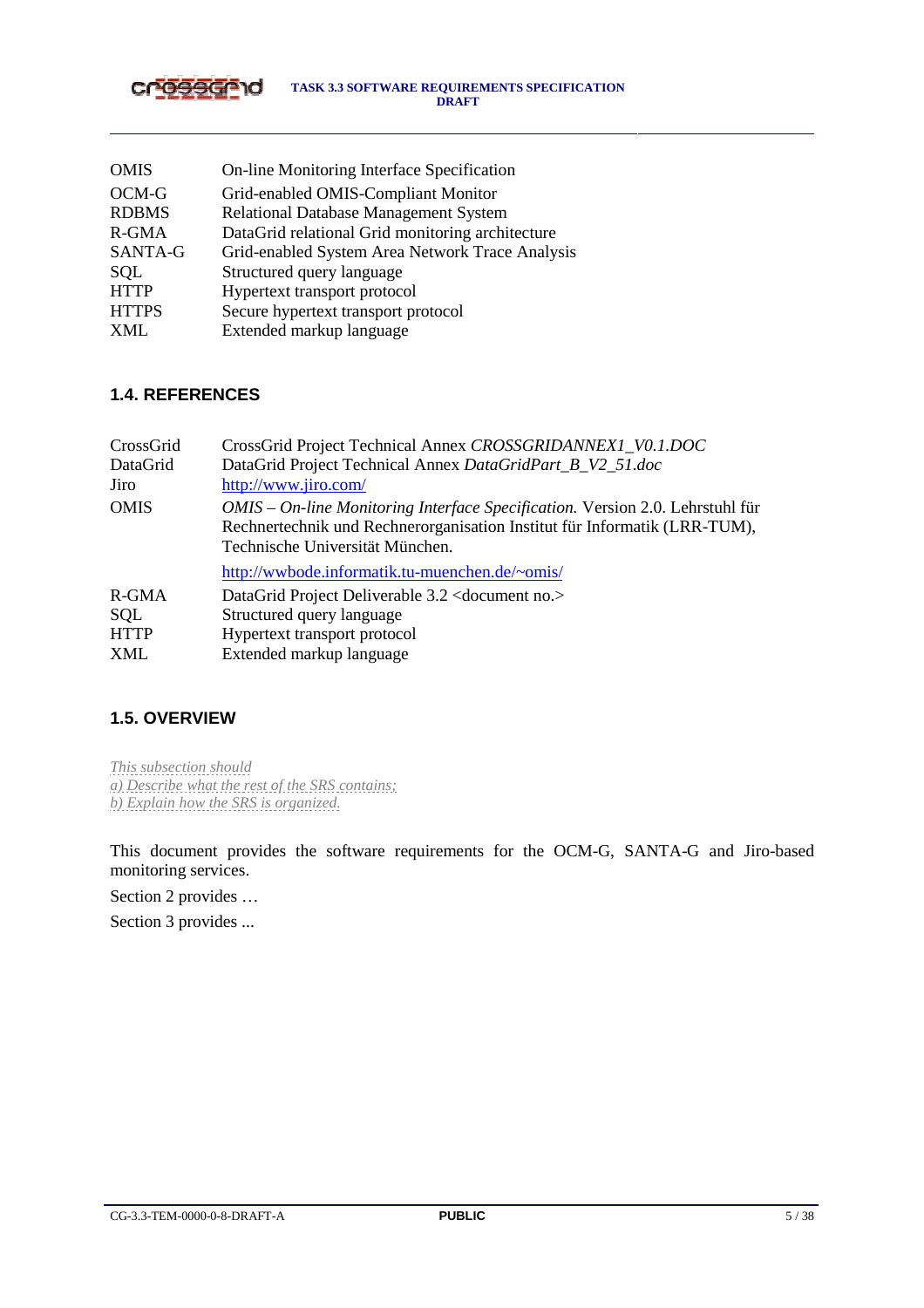| <b>OMIS</b>  | On-line Monitoring Interface Specification       |
|--------------|--------------------------------------------------|
| OCM-G        | Grid-enabled OMIS-Compliant Monitor              |
| <b>RDBMS</b> | Relational Database Management System            |
| R-GMA        | DataGrid relational Grid monitoring architecture |
| SANTA-G      | Grid-enabled System Area Network Trace Analysis  |
| SQL          | Structured query language                        |
| <b>HTTP</b>  | Hypertext transport protocol                     |
| <b>HTTPS</b> | Secure hypertext transport protocol              |
| <b>XML</b>   | Extended markup language                         |

## **1.4. REFERENCES**

| CrossGrid<br>DataGrid | CrossGrid Project Technical Annex CROSSGRIDANNEX1_V0.1.DOC<br>DataGrid Project Technical Annex DataGridPart_B_V2_51.doc                                                                       |
|-----------------------|-----------------------------------------------------------------------------------------------------------------------------------------------------------------------------------------------|
| Jiro                  | http://www.jiro.com/                                                                                                                                                                          |
| <b>OMIS</b>           | OMIS – On-line Monitoring Interface Specification. Version 2.0. Lehrstuhl für<br>Rechnertechnik und Rechnerorganisation Institut für Informatik (LRR-TUM),<br>Technische Universität München. |
|                       | http://wwbode.informatik.tu-muenchen.de/~omis/                                                                                                                                                |
| R-GMA                 | DataGrid Project Deliverable 3.2 < document no. >                                                                                                                                             |
| <b>SQL</b>            | Structured query language                                                                                                                                                                     |
| <b>HTTP</b>           | Hypertext transport protocol                                                                                                                                                                  |
| XML                   | Extended markup language                                                                                                                                                                      |

# **1.5. OVERVIEW**

*This subsection should a) Describe what the rest of the SRS contains; b) Explain how the SRS is organized.*

This document provides the software requirements for the OCM-G, SANTA-G and Jiro-based monitoring services.

Section 2 provides …

Section 3 provides ...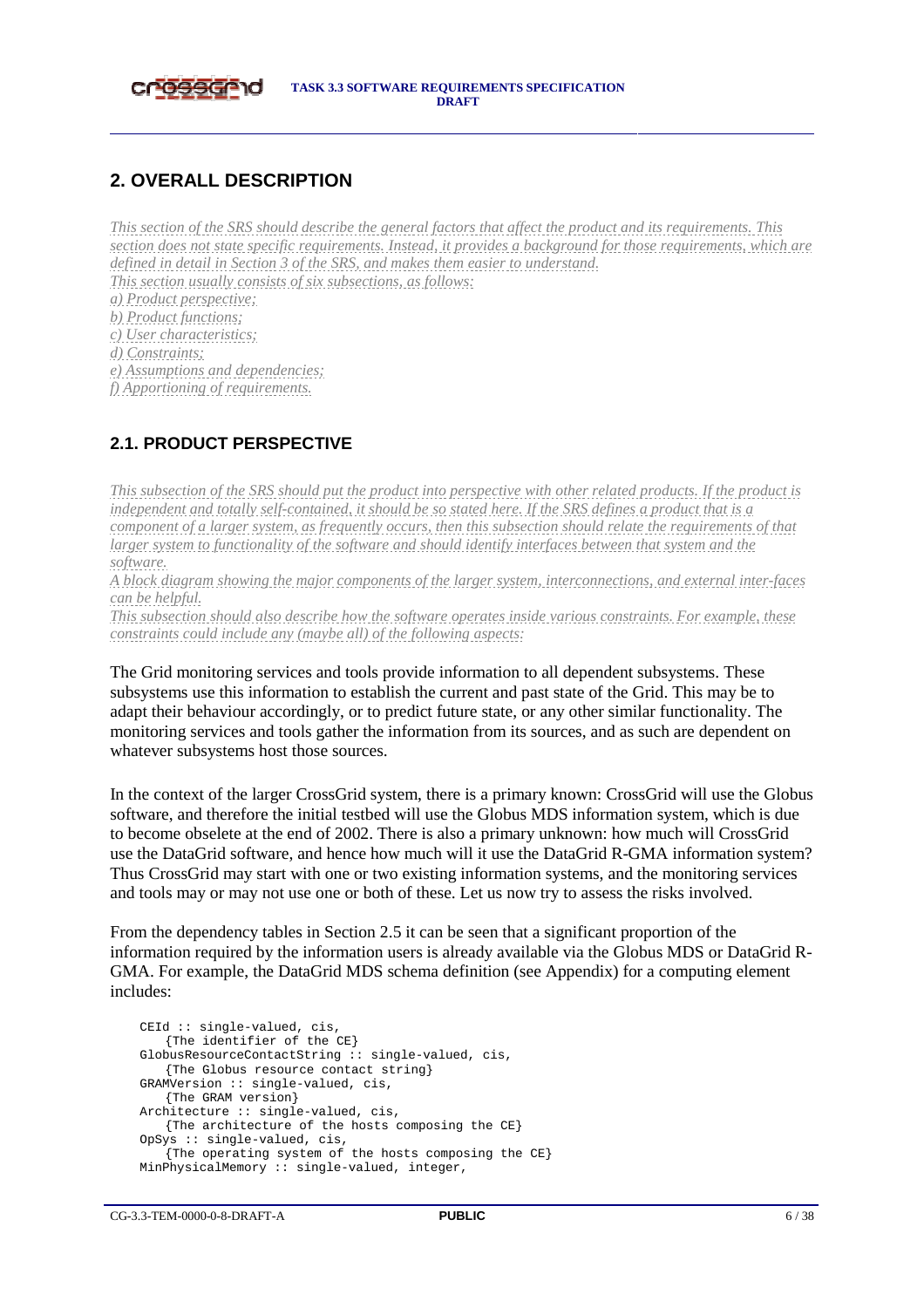

#### **TASK 3.3 SOFTWARE REQUIREMENTS SPECIFICATION DRAFT**

# **2. OVERALL DESCRIPTION**

*This section of the SRS should describe the general factors that affect the product and its requirements. This section does not state specific requirements. Instead, it provides a background for those requirements, which are defined in detail in Section 3 of the SRS, and makes them easier to understand. This section usually consists of six subsections, as follows: a) Product perspective; b) Product functions; c) User characteristics; d) Constraints; e) Assumptions and dependencies; f) Apportioning of requirements.*

# **2.1. PRODUCT PERSPECTIVE**

*This subsection of the SRS should put the product into perspective with other related products. If the product is independent and totally self-contained, it should be so stated here. If the SRS defines a product that is a component of a larger system, as frequently occurs, then this subsection should relate the requirements of that larger system to functionality of the software and should identify interfaces between that system and the software.*

*A block diagram showing the major components of the larger system, interconnections, and external inter-faces can be helpful.*

*This subsection should also describe how the software operates inside various constraints. For example, these constraints could include any (maybe all) of the following aspects:*

The Grid monitoring services and tools provide information to all dependent subsystems. These subsystems use this information to establish the current and past state of the Grid. This may be to adapt their behaviour accordingly, or to predict future state, or any other similar functionality. The monitoring services and tools gather the information from its sources, and as such are dependent on whatever subsystems host those sources.

In the context of the larger CrossGrid system, there is a primary known: CrossGrid will use the Globus software, and therefore the initial testbed will use the Globus MDS information system, which is due to become obselete at the end of 2002. There is also a primary unknown: how much will CrossGrid use the DataGrid software, and hence how much will it use the DataGrid R-GMA information system? Thus CrossGrid may start with one or two existing information systems, and the monitoring services and tools may or may not use one or both of these. Let us now try to assess the risks involved.

From the dependency tables in Section 2.5 it can be seen that a significant proportion of the information required by the information users is already available via the Globus MDS or DataGrid R-GMA. For example, the DataGrid MDS schema definition (see Appendix) for a computing element includes:

 CEId :: single-valued, cis, {The identifier of the CE} GlobusResourceContactString :: single-valued, cis, {The Globus resource contact string} GRAMVersion :: single-valued, cis, {The GRAM version} Architecture :: single-valued, cis, {The architecture of the hosts composing the CE} OpSys :: single-valued, cis, {The operating system of the hosts composing the CE} MinPhysicalMemory :: single-valued, integer,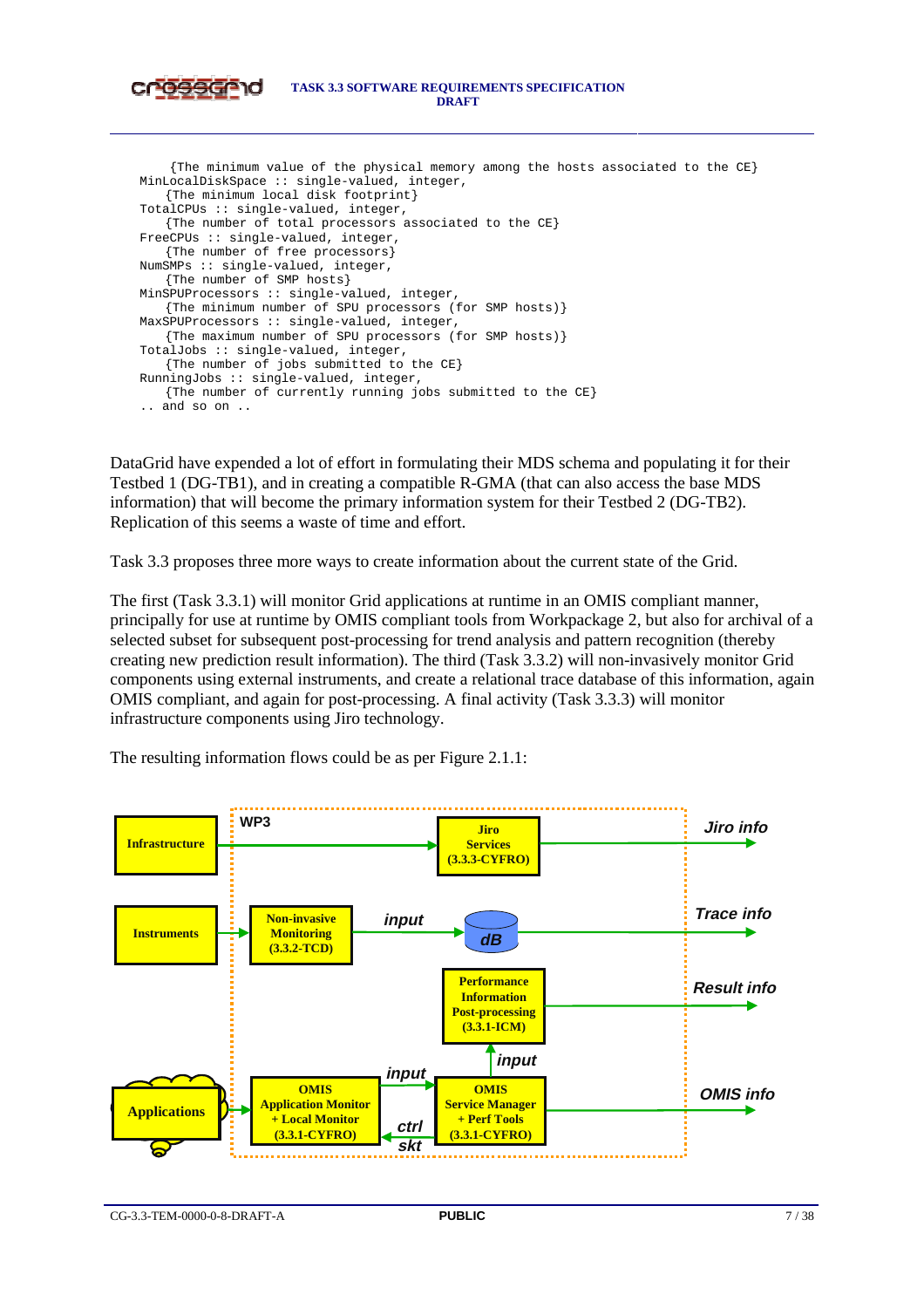#### **TASK 3.3 SOFTWARE REQUIREMENTS SPECIFICATION DRAFT**

 {The minimum value of the physical memory among the hosts associated to the CE} MinLocalDiskSpace :: single-valued, integer, {The minimum local disk footprint} TotalCPUs :: single-valued, integer, {The number of total processors associated to the CE} FreeCPUs :: single-valued, integer, {The number of free processors} NumSMPs :: single-valued, integer, {The number of SMP hosts} MinSPUProcessors :: single-valued, integer, {The minimum number of SPU processors (for SMP hosts)} MaxSPUProcessors :: single-valued, integer, {The maximum number of SPU processors (for SMP hosts)} TotalJobs :: single-valued, integer, {The number of jobs submitted to the CE} RunningJobs :: single-valued, integer, {The number of currently running jobs submitted to the CE} .. and so on ..

DataGrid have expended a lot of effort in formulating their MDS schema and populating it for their Testbed 1 (DG-TB1), and in creating a compatible R-GMA (that can also access the base MDS information) that will become the primary information system for their Testbed 2 (DG-TB2). Replication of this seems a waste of time and effort.

Task 3.3 proposes three more ways to create information about the current state of the Grid.

The first (Task 3.3.1) will monitor Grid applications at runtime in an OMIS compliant manner, principally for use at runtime by OMIS compliant tools from Workpackage 2, but also for archival of a selected subset for subsequent post-processing for trend analysis and pattern recognition (thereby creating new prediction result information). The third (Task 3.3.2) will non-invasively monitor Grid components using external instruments, and create a relational trace database of this information, again OMIS compliant, and again for post-processing. A final activity (Task 3.3.3) will monitor infrastructure components using Jiro technology.

The resulting information flows could be as per Figure 2.1.1:

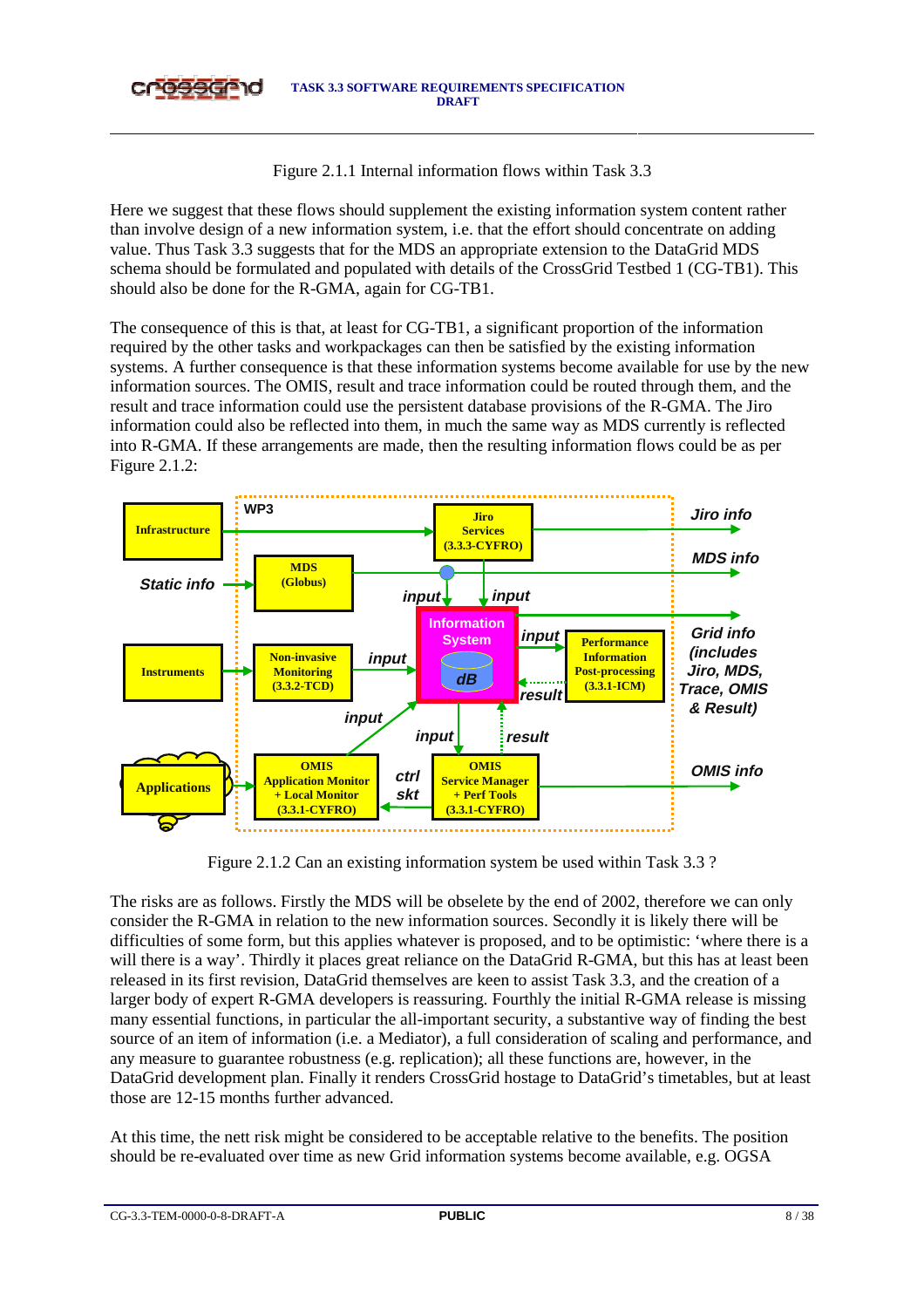Figure 2.1.1 Internal information flows within Task 3.3

Here we suggest that these flows should supplement the existing information system content rather than involve design of a new information system, i.e. that the effort should concentrate on adding value. Thus Task 3.3 suggests that for the MDS an appropriate extension to the DataGrid MDS schema should be formulated and populated with details of the CrossGrid Testbed 1 (CG-TB1). This should also be done for the R-GMA, again for CG-TB1.

The consequence of this is that, at least for CG-TB1, a significant proportion of the information required by the other tasks and workpackages can then be satisfied by the existing information systems. A further consequence is that these information systems become available for use by the new information sources. The OMIS, result and trace information could be routed through them, and the result and trace information could use the persistent database provisions of the R-GMA. The Jiro information could also be reflected into them, in much the same way as MDS currently is reflected into R-GMA. If these arrangements are made, then the resulting information flows could be as per Figure 2.1.2:



Figure 2.1.2 Can an existing information system be used within Task 3.3 ?

The risks are as follows. Firstly the MDS will be obselete by the end of 2002, therefore we can only consider the R-GMA in relation to the new information sources. Secondly it is likely there will be difficulties of some form, but this applies whatever is proposed, and to be optimistic: 'where there is a will there is a way'. Thirdly it places great reliance on the DataGrid R-GMA, but this has at least been released in its first revision, DataGrid themselves are keen to assist Task 3.3, and the creation of a larger body of expert R-GMA developers is reassuring. Fourthly the initial R-GMA release is missing many essential functions, in particular the all-important security, a substantive way of finding the best source of an item of information (i.e. a Mediator), a full consideration of scaling and performance, and any measure to guarantee robustness (e.g. replication); all these functions are, however, in the DataGrid development plan. Finally it renders CrossGrid hostage to DataGrid's timetables, but at least those are 12-15 months further advanced.

At this time, the nett risk might be considered to be acceptable relative to the benefits. The position should be re-evaluated over time as new Grid information systems become available, e.g. OGSA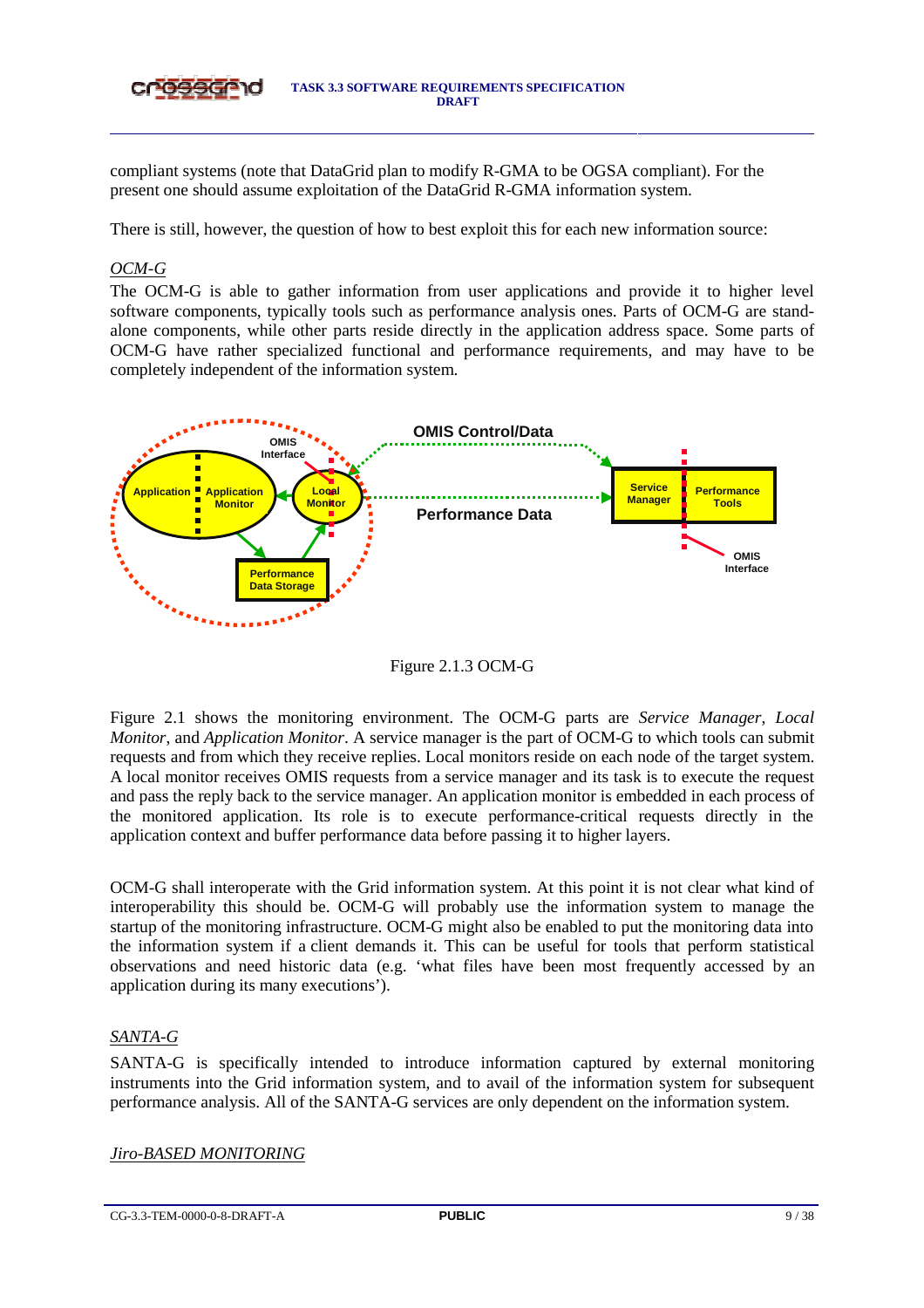compliant systems (note that DataGrid plan to modify R-GMA to be OGSA compliant). For the present one should assume exploitation of the DataGrid R-GMA information system.

There is still, however, the question of how to best exploit this for each new information source:

#### *OCM-G*

The OCM-G is able to gather information from user applications and provide it to higher level software components, typically tools such as performance analysis ones. Parts of OCM-G are standalone components, while other parts reside directly in the application address space. Some parts of OCM-G have rather specialized functional and performance requirements, and may have to be completely independent of the information system.



Figure 2.1.3 OCM-G

Figure 2.1 shows the monitoring environment. The OCM-G parts are *Service Manager*, *Local Monitor*, and *Application Monitor*. A service manager is the part of OCM-G to which tools can submit requests and from which they receive replies. Local monitors reside on each node of the target system. A local monitor receives OMIS requests from a service manager and its task is to execute the request and pass the reply back to the service manager. An application monitor is embedded in each process of the monitored application. Its role is to execute performance-critical requests directly in the application context and buffer performance data before passing it to higher layers.

OCM-G shall interoperate with the Grid information system. At this point it is not clear what kind of interoperability this should be. OCM-G will probably use the information system to manage the startup of the monitoring infrastructure. OCM-G might also be enabled to put the monitoring data into the information system if a client demands it. This can be useful for tools that perform statistical observations and need historic data (e.g. 'what files have been most frequently accessed by an application during its many executions').

#### *SANTA-G*

SANTA-G is specifically intended to introduce information captured by external monitoring instruments into the Grid information system, and to avail of the information system for subsequent performance analysis. All of the SANTA-G services are only dependent on the information system.

#### *Jiro-BASED MONITORING*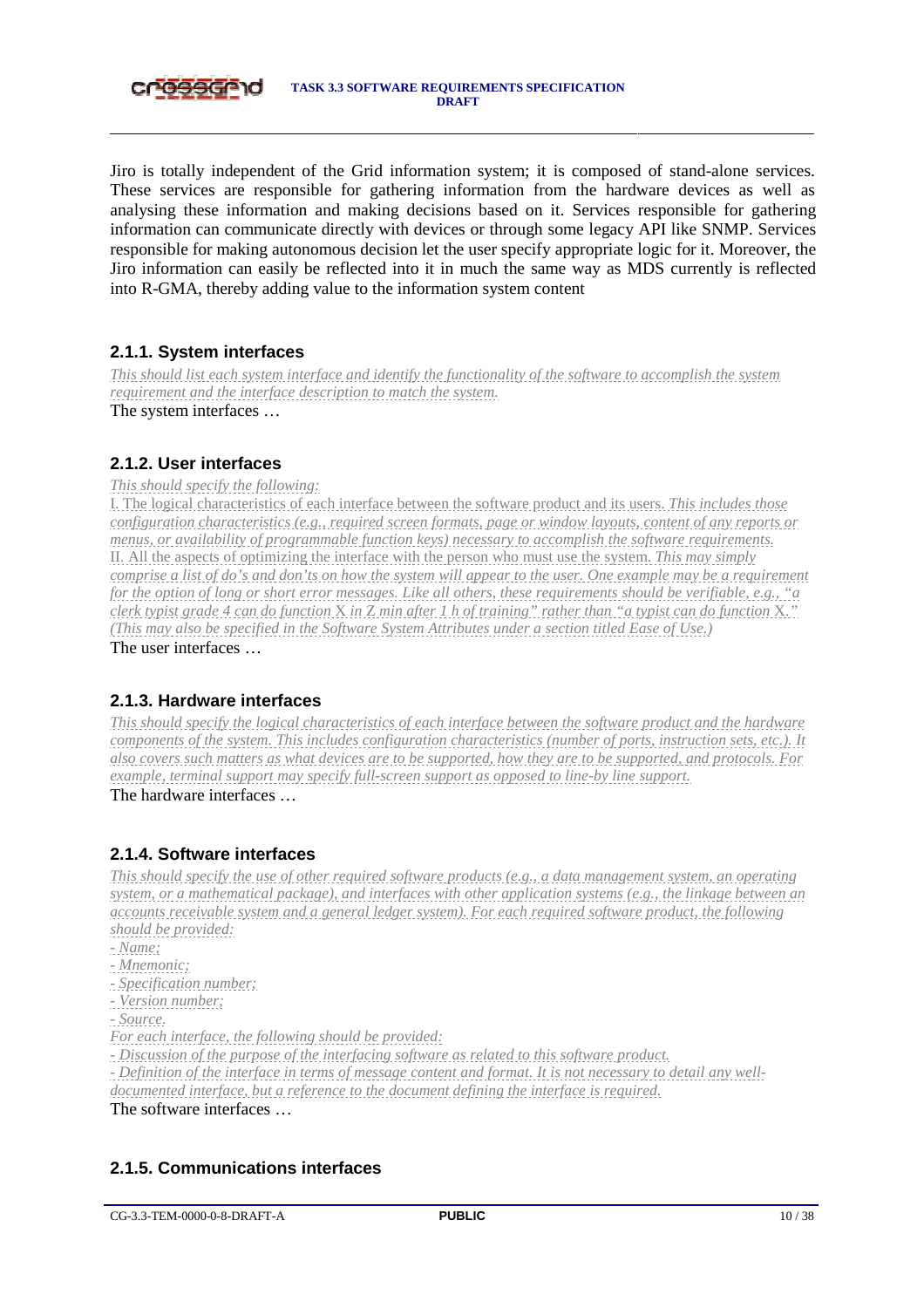Jiro is totally independent of the Grid information system; it is composed of stand-alone services. These services are responsible for gathering information from the hardware devices as well as analysing these information and making decisions based on it. Services responsible for gathering information can communicate directly with devices or through some legacy API like SNMP. Services responsible for making autonomous decision let the user specify appropriate logic for it. Moreover, the Jiro information can easily be reflected into it in much the same way as MDS currently is reflected into R-GMA, thereby adding value to the information system content

#### **2.1.1. System interfaces**

*This should list each system interface and identify the functionality of the software to accomplish the system requirement and the interface description to match the system.* The system interfaces …

#### **2.1.2. User interfaces**

#### *This should specify the following:*

I. The logical characteristics of each interface between the software product and its users. *This includes those configuration characteristics (e.g., required screen formats, page or window layouts, content of any reports or menus, or availability of programmable function keys) necessary to accomplish the software requirements.* II. All the aspects of optimizing the interface with the person who must use the system. *This may simply comprise a list of do's and don'ts on how the system will appear to the user. One example may be a requirement for the option of long or short error messages. Like all others, these requirements should be verifiable, e.g., "a clerk typist grade 4 can do function* X *in* Z *min after 1 h of training" rather than "a typist can do function* X.*" (This may also be specified in the Software System Attributes under a section titled Ease of Use.)* The user interfaces …

# **2.1.3. Hardware interfaces**

*This should specify the logical characteristics of each interface between the software product and the hardware components of the system. This includes configuration characteristics (number of ports, instruction sets, etc.). It also covers such matters as what devices are to be supported, how they are to be supported, and protocols. For example, terminal support may specify full-screen support as opposed to line-by line support.* The hardware interfaces …

# **2.1.4. Software interfaces**

*This should specify the use of other required software products (e.g., a data management system, an operating system, or a mathematical package), and interfaces with other application systems (e.g., the linkage between an accounts receivable system and a general ledger system). For each required software product, the following should be provided:*

- *Name;*
- *Mnemonic;*
- *Specification number;*
- *Version number;*
- *Source.*

*For each interface, the following should be provided:*

*- Discussion of the purpose of the interfacing software as related to this software product.*

*- Definition of the interface in terms of message content and format. It is not necessary to detail any well-*

*documented interface, but a reference to the document defining the interface is required.*

The software interfaces …

# **2.1.5. Communications interfaces**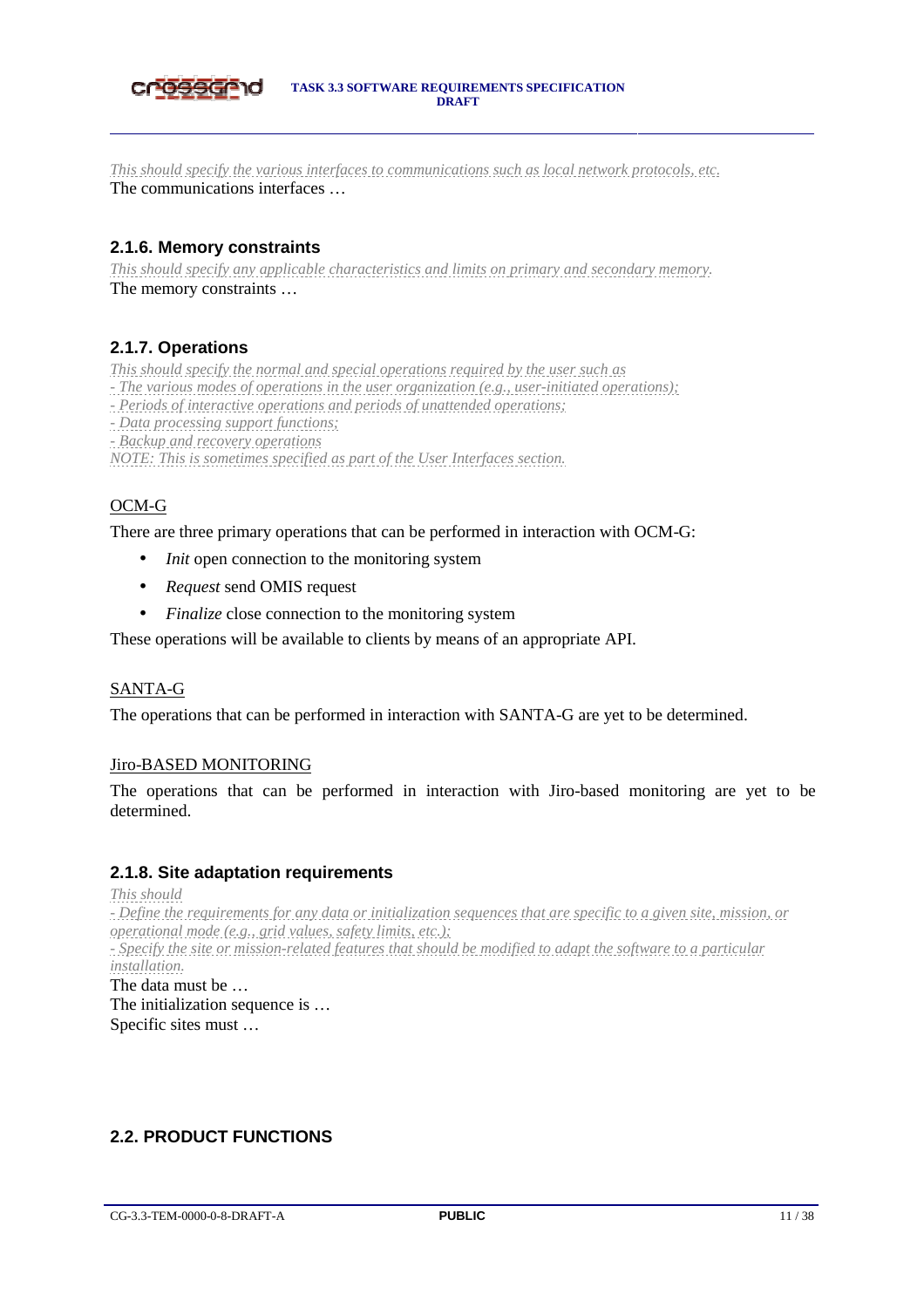*This should specify the various interfaces to communications such as local network protocols, etc.* The communications interfaces …

#### **2.1.6. Memory constraints**

*This should specify any applicable characteristics and limits on primary and secondary memory.* The memory constraints …

#### **2.1.7. Operations**

*This should specify the normal and special operations required by the user such as - The various modes of operations in the user organization (e.g., user-initiated operations); - Periods of interactive operations and periods of unattended operations; - Data processing support functions; - Backup and recovery operations NOTE: This is sometimes specified as part of the User Interfaces section.*

#### OCM-G

There are three primary operations that can be performed in interaction with OCM-G:

- *Init* open connection to the monitoring system
- *Request* send OMIS request
- *Finalize* close connection to the monitoring system

These operations will be available to clients by means of an appropriate API.

#### SANTA-G

The operations that can be performed in interaction with SANTA-G are yet to be determined.

#### Jiro-BASED MONITORING

The operations that can be performed in interaction with Jiro-based monitoring are yet to be determined.

#### **2.1.8. Site adaptation requirements**

*This should - Define the requirements for any data or initialization sequences that are specific to a given site, mission, or operational mode (e.g., grid values, safety limits, etc.); - Specify the site or mission-related features that should be modified to adapt the software to a particular installation.* The data must be … The initialization sequence is … Specific sites must …

### **2.2. PRODUCT FUNCTIONS**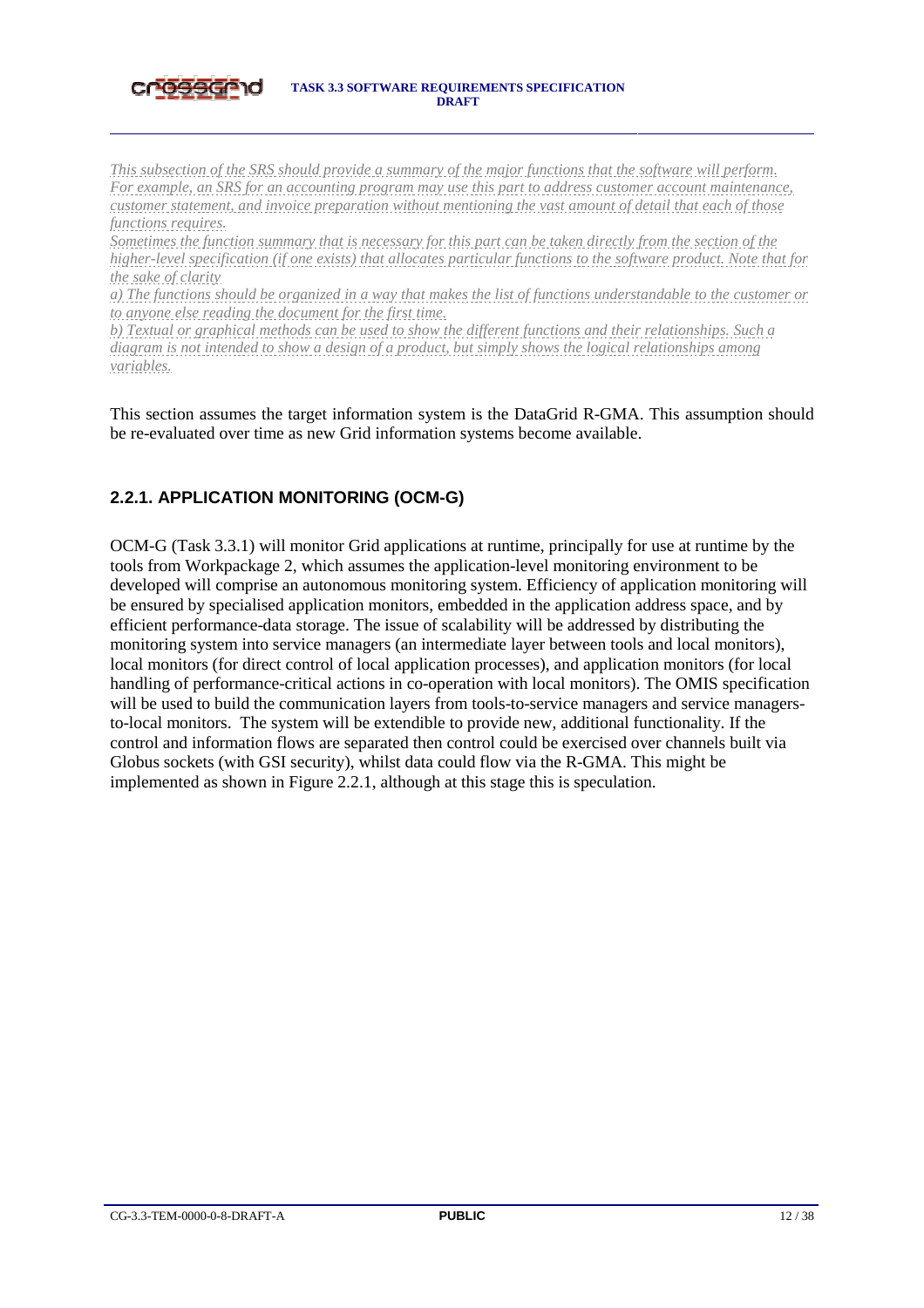*This subsection of the SRS should provide a summary of the major functions that the software will perform. For example, an SRS for an accounting program may use this part to address customer account maintenance, customer statement, and invoice preparation without mentioning the vast amount of detail that each of those functions requires.*

*Sometimes the function summary that is necessary for this part can be taken directly from the section of the higher-level specification (if one exists) that allocates particular functions to the software product. Note that for the sake of clarity*

*a) The functions should be organized in a way that makes the list of functions understandable to the customer or to anyone else reading the document for the first time.*

*b) Textual or graphical methods can be used to show the different functions and their relationships. Such a diagram is not intended to show a design of a product, but simply shows the logical relationships among variables.*

This section assumes the target information system is the DataGrid R-GMA. This assumption should be re-evaluated over time as new Grid information systems become available.

# **2.2.1. APPLICATION MONITORING (OCM-G)**

OCM-G (Task 3.3.1) will monitor Grid applications at runtime, principally for use at runtime by the tools from Workpackage 2, which assumes the application-level monitoring environment to be developed will comprise an autonomous monitoring system. Efficiency of application monitoring will be ensured by specialised application monitors, embedded in the application address space, and by efficient performance-data storage. The issue of scalability will be addressed by distributing the monitoring system into service managers (an intermediate layer between tools and local monitors), local monitors (for direct control of local application processes), and application monitors (for local handling of performance-critical actions in co-operation with local monitors). The OMIS specification will be used to build the communication layers from tools-to-service managers and service managersto-local monitors. The system will be extendible to provide new, additional functionality. If the control and information flows are separated then control could be exercised over channels built via Globus sockets (with GSI security), whilst data could flow via the R-GMA. This might be implemented as shown in Figure 2.2.1, although at this stage this is speculation.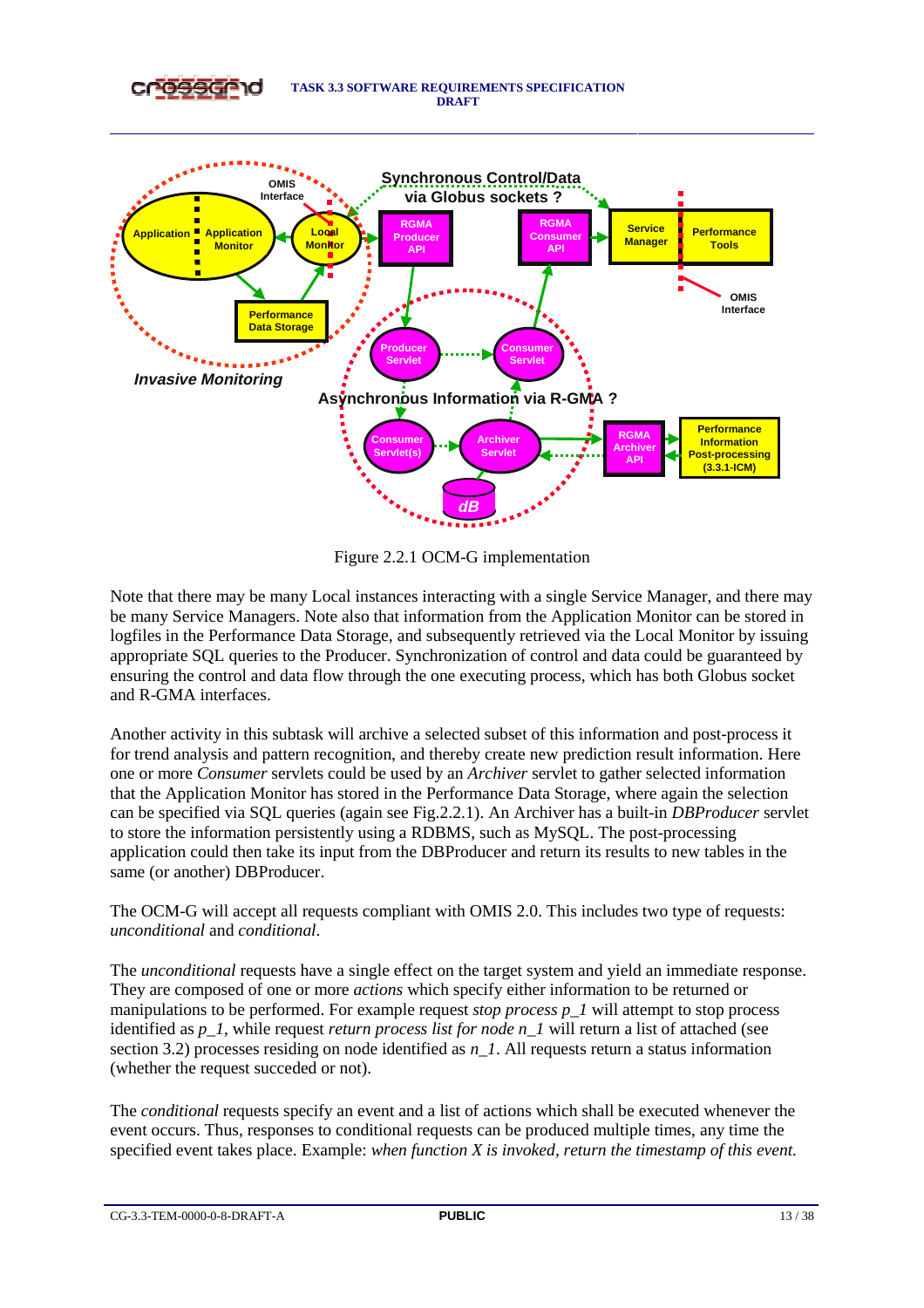

Figure 2.2.1 OCM-G implementation

Note that there may be many Local instances interacting with a single Service Manager, and there may be many Service Managers. Note also that information from the Application Monitor can be stored in logfiles in the Performance Data Storage, and subsequently retrieved via the Local Monitor by issuing appropriate SQL queries to the Producer. Synchronization of control and data could be guaranteed by ensuring the control and data flow through the one executing process, which has both Globus socket and R-GMA interfaces.

Another activity in this subtask will archive a selected subset of this information and post-process it for trend analysis and pattern recognition, and thereby create new prediction result information. Here one or more *Consumer* servlets could be used by an *Archiver* servlet to gather selected information that the Application Monitor has stored in the Performance Data Storage, where again the selection can be specified via SQL queries (again see Fig.2.2.1). An Archiver has a built-in *DBProducer* servlet to store the information persistently using a RDBMS, such as MySQL. The post-processing application could then take its input from the DBProducer and return its results to new tables in the same (or another) DBProducer.

The OCM-G will accept all requests compliant with OMIS 2.0. This includes two type of requests: *unconditional* and *conditional*.

The *unconditional* requests have a single effect on the target system and yield an immediate response. They are composed of one or more *actions* which specify either information to be returned or manipulations to be performed. For example request *stop process p\_1* will attempt to stop process identified as *p\_1*, while request *return process list for node n\_1* will return a list of attached (see section 3.2) processes residing on node identified as *n\_1*. All requests return a status information (whether the request succeded or not).

The *conditional* requests specify an event and a list of actions which shall be executed whenever the event occurs. Thus, responses to conditional requests can be produced multiple times, any time the specified event takes place. Example: *when function X is invoked, return the timestamp of this event.*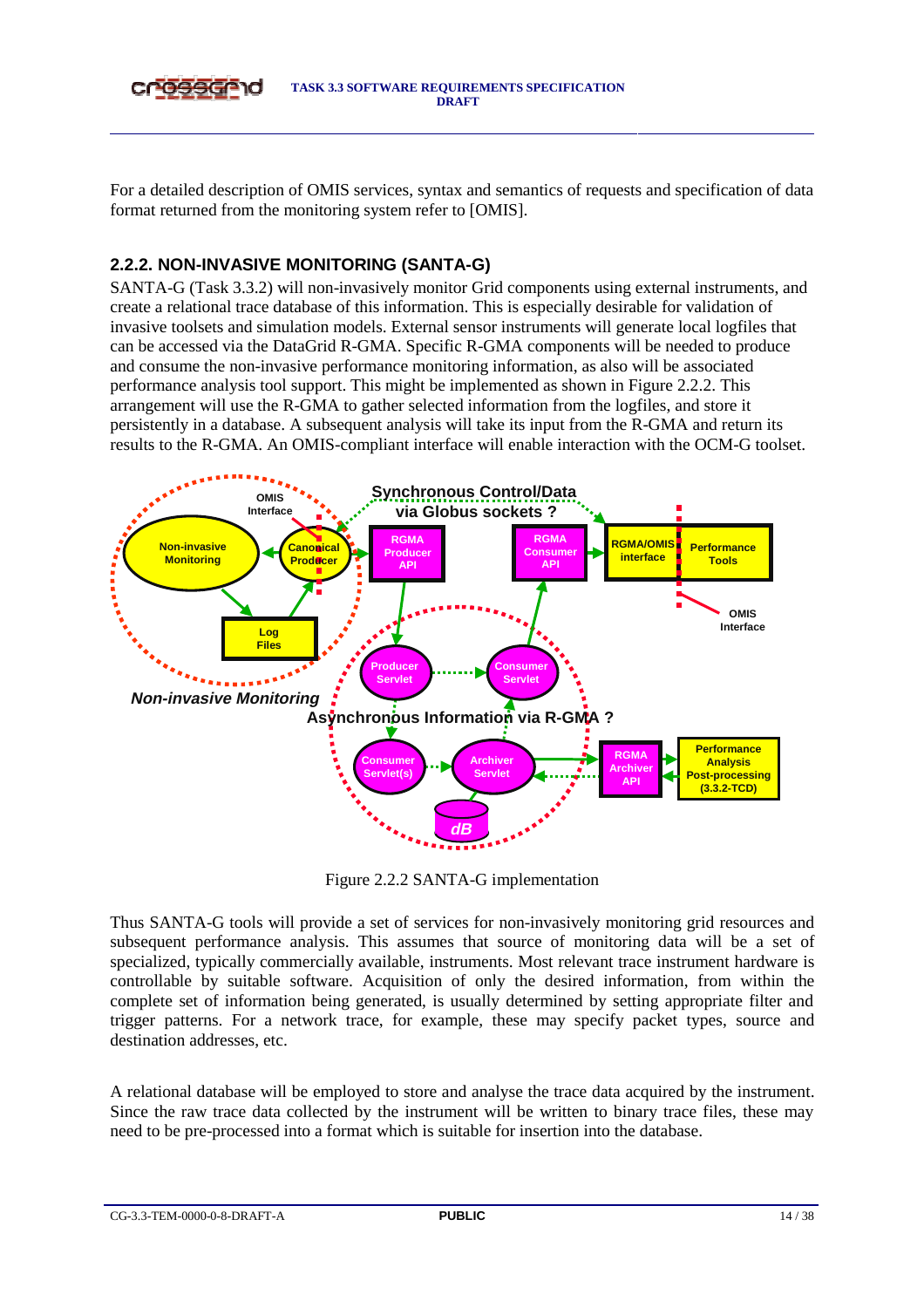For a detailed description of OMIS services, syntax and semantics of requests and specification of data format returned from the monitoring system refer to [OMIS].

## **2.2.2. NON-INVASIVE MONITORING (SANTA-G)**

SANTA-G (Task 3.3.2) will non-invasively monitor Grid components using external instruments, and create a relational trace database of this information. This is especially desirable for validation of invasive toolsets and simulation models. External sensor instruments will generate local logfiles that can be accessed via the DataGrid R-GMA. Specific R-GMA components will be needed to produce and consume the non-invasive performance monitoring information, as also will be associated performance analysis tool support. This might be implemented as shown in Figure 2.2.2. This arrangement will use the R-GMA to gather selected information from the logfiles, and store it persistently in a database. A subsequent analysis will take its input from the R-GMA and return its results to the R-GMA. An OMIS-compliant interface will enable interaction with the OCM-G toolset.



Figure 2.2.2 SANTA-G implementation

Thus SANTA-G tools will provide a set of services for non-invasively monitoring grid resources and subsequent performance analysis. This assumes that source of monitoring data will be a set of specialized, typically commercially available, instruments. Most relevant trace instrument hardware is controllable by suitable software. Acquisition of only the desired information, from within the complete set of information being generated, is usually determined by setting appropriate filter and trigger patterns. For a network trace, for example, these may specify packet types, source and destination addresses, etc.

A relational database will be employed to store and analyse the trace data acquired by the instrument. Since the raw trace data collected by the instrument will be written to binary trace files, these may need to be pre-processed into a format which is suitable for insertion into the database.

CG-3.3-TEM-0000-0-8-DRAFT-A **PUBLIC** 14 / 38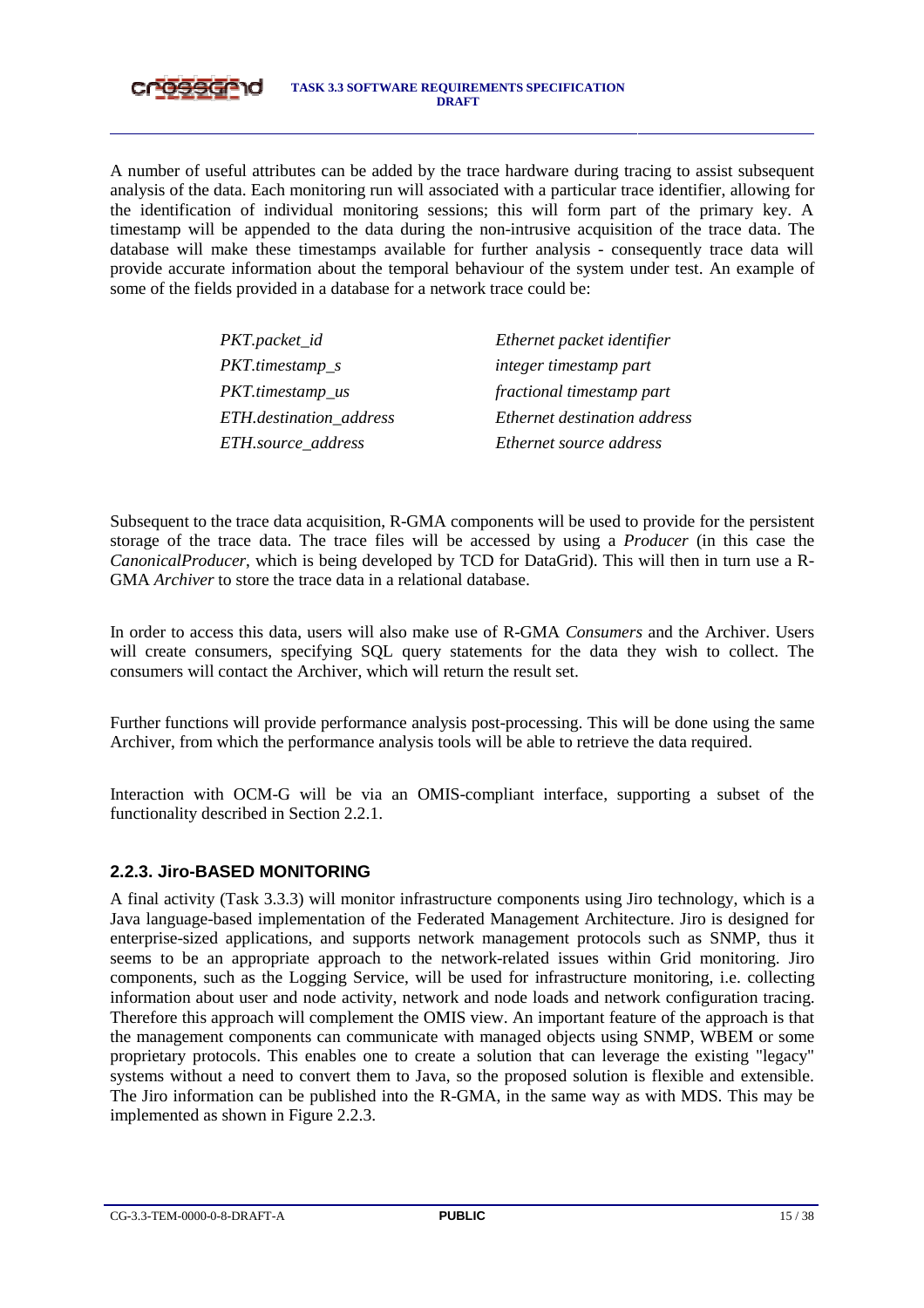

A number of useful attributes can be added by the trace hardware during tracing to assist subsequent analysis of the data. Each monitoring run will associated with a particular trace identifier, allowing for the identification of individual monitoring sessions; this will form part of the primary key. A timestamp will be appended to the data during the non-intrusive acquisition of the trace data. The database will make these timestamps available for further analysis - consequently trace data will provide accurate information about the temporal behaviour of the system under test. An example of some of the fields provided in a database for a network trace could be:

| PKT.packet_id           | Ethernet packet identifier   |
|-------------------------|------------------------------|
| PKT.time stamp          | integer timestamp part       |
| $PKT.time stamp_us$     | fractional timestamp part    |
| ETH.destination address | Ethernet destination address |
| ETH.source_address      | Ethernet source address      |

Subsequent to the trace data acquisition, R-GMA components will be used to provide for the persistent storage of the trace data. The trace files will be accessed by using a *Producer* (in this case the *CanonicalProducer*, which is being developed by TCD for DataGrid). This will then in turn use a R-GMA *Archiver* to store the trace data in a relational database.

In order to access this data, users will also make use of R-GMA *Consumers* and the Archiver. Users will create consumers, specifying SQL query statements for the data they wish to collect. The consumers will contact the Archiver, which will return the result set.

Further functions will provide performance analysis post-processing. This will be done using the same Archiver, from which the performance analysis tools will be able to retrieve the data required.

Interaction with OCM-G will be via an OMIS-compliant interface, supporting a subset of the functionality described in Section 2.2.1.

# **2.2.3. Jiro-BASED MONITORING**

A final activity (Task 3.3.3) will monitor infrastructure components using Jiro technology, which is a Java language-based implementation of the Federated Management Architecture. Jiro is designed for enterprise-sized applications, and supports network management protocols such as SNMP, thus it seems to be an appropriate approach to the network-related issues within Grid monitoring. Jiro components, such as the Logging Service, will be used for infrastructure monitoring, i.e. collecting information about user and node activity, network and node loads and network configuration tracing. Therefore this approach will complement the OMIS view. An important feature of the approach is that the management components can communicate with managed objects using SNMP, WBEM or some proprietary protocols. This enables one to create a solution that can leverage the existing "legacy" systems without a need to convert them to Java, so the proposed solution is flexible and extensible. The Jiro information can be published into the R-GMA, in the same way as with MDS. This may be implemented as shown in Figure 2.2.3.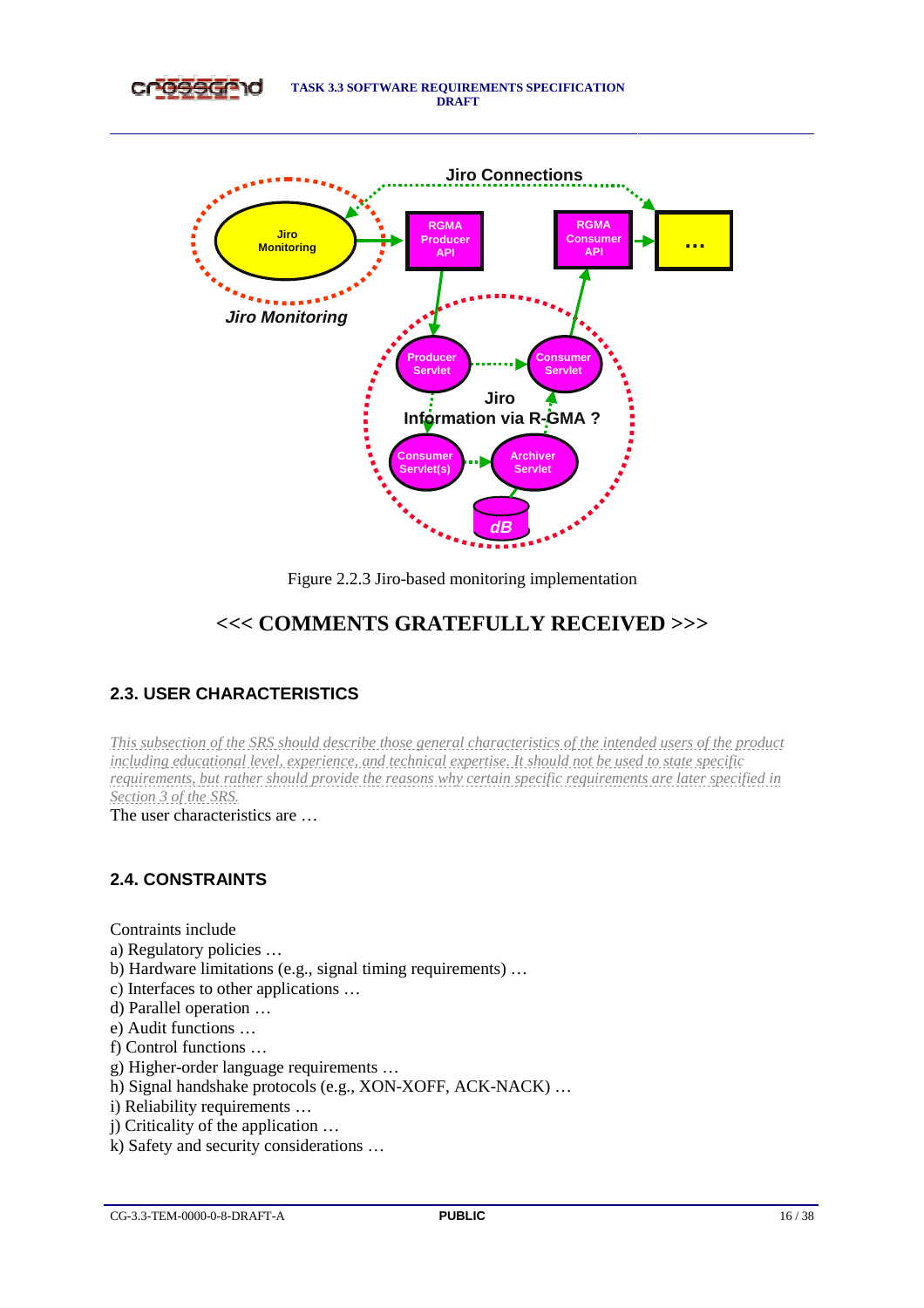

**TASK 3.3 SOFTWARE REQUIREMENTS SPECIFICATION**

Figure 2.2.3 Jiro-based monitoring implementation

# **<<< COMMENTS GRATEFULLY RECEIVED >>>**

# **2.3. USER CHARACTERISTICS**

æss

*This subsection of the SRS should describe those general characteristics of the intended users of the product including educational level, experience, and technical expertise. It should not be used to state specific requirements, but rather should provide the reasons why certain specific requirements are later specified in Section 3 of the SRS.*

The user characteristics are …

# **2.4. CONSTRAINTS**

Contraints include

- a) Regulatory policies …
- b) Hardware limitations (e.g., signal timing requirements) …
- c) Interfaces to other applications …
- d) Parallel operation …
- e) Audit functions …
- f) Control functions …
- g) Higher-order language requirements …
- h) Signal handshake protocols (e.g., XON-XOFF, ACK-NACK) …
- i) Reliability requirements …
- j) Criticality of the application …
- k) Safety and security considerations …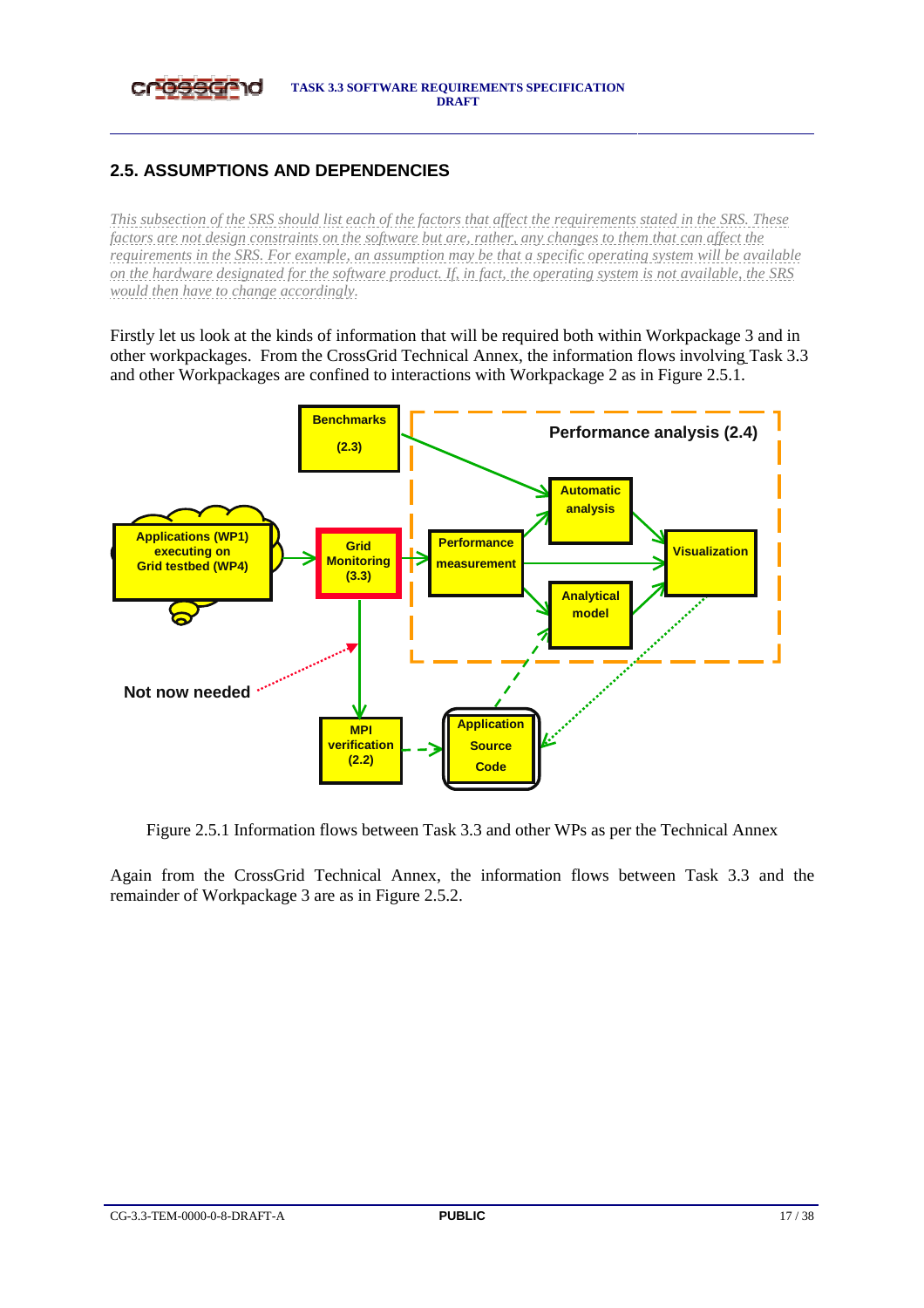# **2.5. ASSUMPTIONS AND DEPENDENCIES**

*This subsection of the SRS should list each of the factors that affect the requirements stated in the SRS. These factors are not design constraints on the software but are, rather, any changes to them that can affect the requirements in the SRS. For example, an assumption may be that a specific operating system will be available on the hardware designated for the software product. If, in fact, the operating system is not available, the SRS would then have to change accordingly.*

Firstly let us look at the kinds of information that will be required both within Workpackage 3 and in other workpackages. From the CrossGrid Technical Annex, the information flows involving Task 3.3 and other Workpackages are confined to interactions with Workpackage 2 as in Figure 2.5.1.



Figure 2.5.1 Information flows between Task 3.3 and other WPs as per the Technical Annex

Again from the CrossGrid Technical Annex, the information flows between Task 3.3 and the remainder of Workpackage 3 are as in Figure 2.5.2.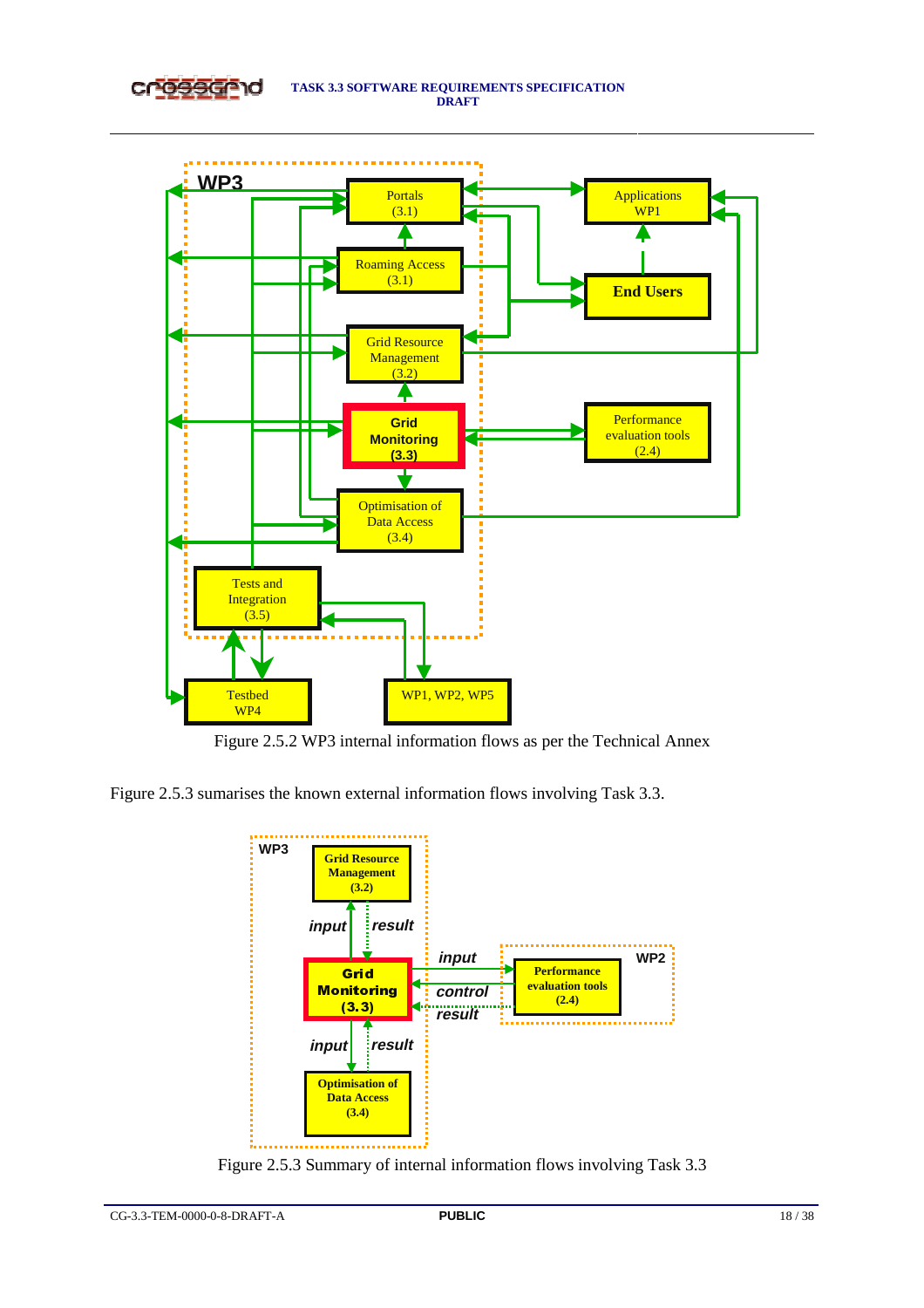

Figure 2.5.2 WP3 internal information flows as per the Technical Annex

Figure 2.5.3 sumarises the known external information flows involving Task 3.3.

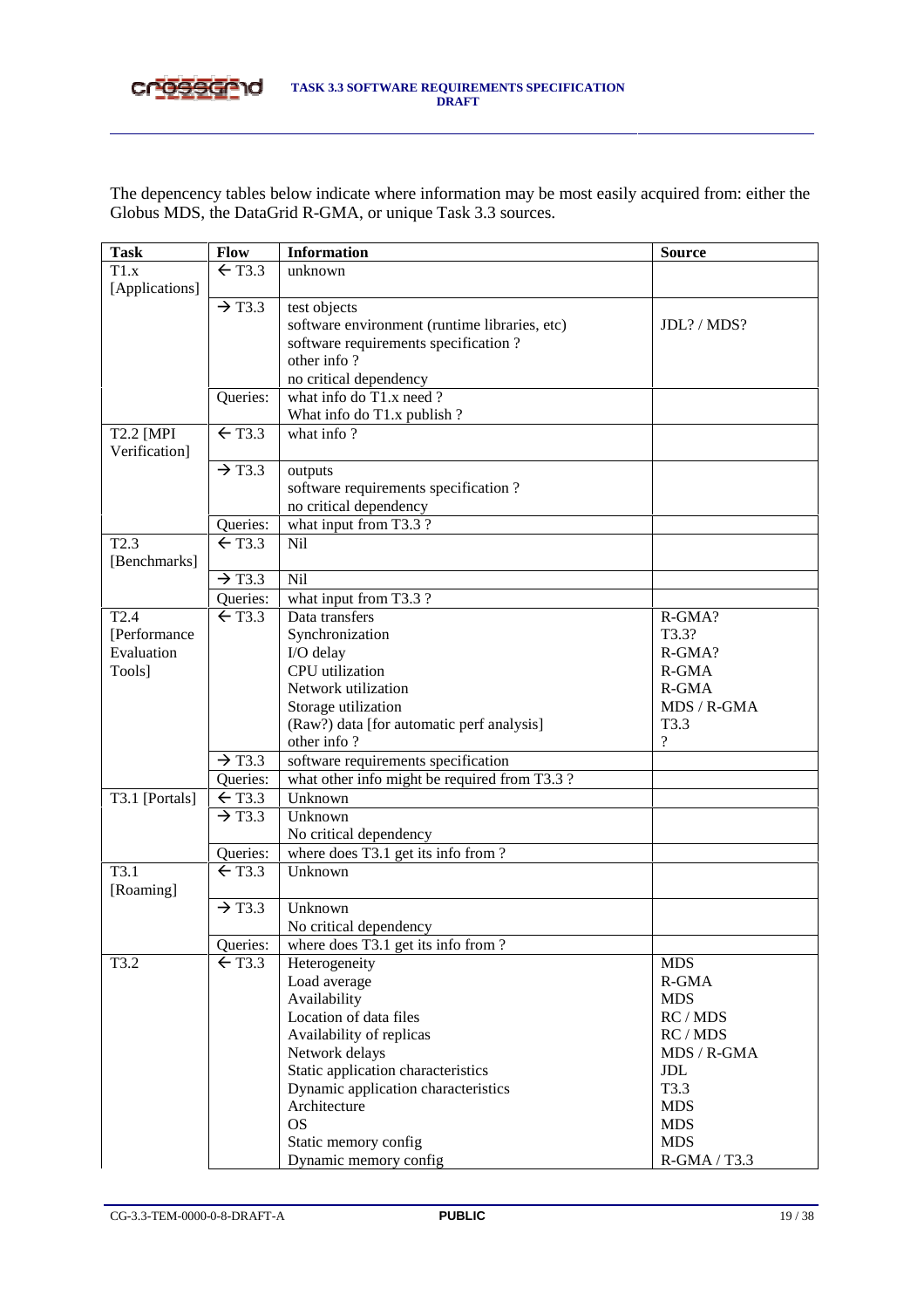CN<del>OSSGN</del>O

The depencency tables below indicate where information may be most easily acquired from: either the Globus MDS, the DataGrid R-GMA, or unique Task 3.3 sources.

| <b>Task</b>    | Flow                           | <b>Information</b>                            | <b>Source</b>            |
|----------------|--------------------------------|-----------------------------------------------|--------------------------|
| T1.x           | $\leftarrow$ T3.3              | unknown                                       |                          |
| [Applications] |                                |                                               |                          |
|                | $\rightarrow$ T <sub>3.3</sub> | test objects                                  |                          |
|                |                                | software environment (runtime libraries, etc) | JDL? / MDS?              |
|                |                                | software requirements specification?          |                          |
|                |                                | other info?                                   |                          |
|                |                                | no critical dependency                        |                          |
|                | Queries:                       | what info do T1.x need?                       |                          |
|                |                                | What info do T1.x publish ?                   |                          |
| T2.2 [MPI      | $\leftarrow$ T3.3              | what info?                                    |                          |
| Verification]  |                                |                                               |                          |
|                | $\rightarrow$ T <sub>3.3</sub> | outputs                                       |                          |
|                |                                | software requirements specification?          |                          |
|                |                                | no critical dependency                        |                          |
|                | Queries:                       | what input from T3.3?                         |                          |
| T2.3           | $\leftarrow$ T3.3              | Nil                                           |                          |
| [Benchmarks]   | $\rightarrow$ T <sub>3.3</sub> | Nil                                           |                          |
|                |                                |                                               |                          |
| T2.4           | Queries:<br>$\leftarrow$ T3.3  | what input from T3.3?<br>Data transfers       |                          |
| [Performance   |                                | Synchronization                               | $R-GMA?$<br>T3.3?        |
| Evaluation     |                                | I/O delay                                     | R-GMA?                   |
| Tools]         |                                | CPU utilization                               | $R-GMA$                  |
|                |                                | Network utilization                           | R-GMA                    |
|                |                                | Storage utilization                           | MDS / R-GMA              |
|                |                                | (Raw?) data [for automatic perf analysis]     | T3.3                     |
|                |                                | other info?                                   | $\overline{\mathcal{L}}$ |
|                | $\rightarrow$ T <sub>3.3</sub> | software requirements specification           |                          |
|                | Queries:                       | what other info might be required from T3.3?  |                          |
| T3.1 [Portals] | $\leftarrow$ T3.3              | Unknown                                       |                          |
|                | $\rightarrow$ T <sub>3.3</sub> | Unknown                                       |                          |
|                |                                | No critical dependency                        |                          |
|                | Queries:                       | where does T3.1 get its info from ?           |                          |
| T3.1           | $\leftarrow$ T3.3              | Unknown                                       |                          |
| [Roaming]      |                                |                                               |                          |
|                | $\rightarrow$ T <sub>3.3</sub> | Unknown                                       |                          |
|                |                                | No critical dependency                        |                          |
|                | Queries:                       | where does T3.1 get its info from ?           |                          |
| T3.2           | $\leftarrow$ T3.3              | Heterogeneity                                 | <b>MDS</b>               |
|                |                                | Load average                                  | R-GMA                    |
|                |                                | Availability                                  | <b>MDS</b>               |
|                |                                | Location of data files                        | $RC/MDS$                 |
|                |                                | Availability of replicas                      | RC / MDS                 |
|                |                                | Network delays                                | MDS / R-GMA              |
|                |                                | Static application characteristics            | <b>JDL</b>               |
|                |                                | Dynamic application characteristics           | T3.3                     |
|                |                                | Architecture                                  | <b>MDS</b>               |
|                |                                | <b>OS</b>                                     | <b>MDS</b><br><b>MDS</b> |
|                |                                | Static memory config<br>Dynamic memory config | R-GMA / T3.3             |
|                |                                |                                               |                          |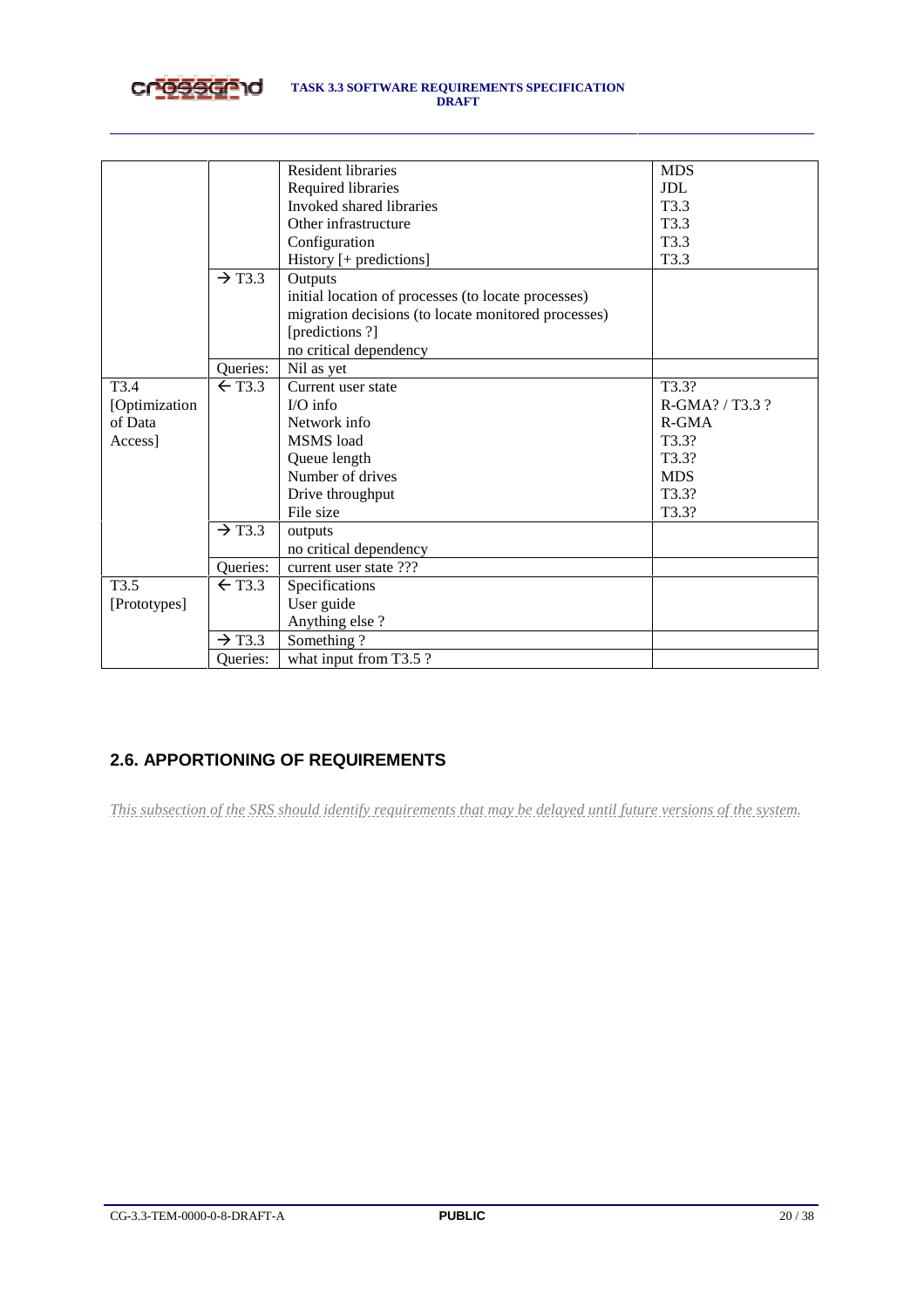

|                  |                                | <b>Resident libraries</b>                           | <b>MDS</b>       |
|------------------|--------------------------------|-----------------------------------------------------|------------------|
|                  |                                | Required libraries                                  | <b>JDL</b>       |
|                  |                                | Invoked shared libraries                            | T3.3             |
|                  |                                | Other infrastructure                                | T <sub>3.3</sub> |
|                  |                                | Configuration                                       | T3.3             |
|                  |                                | $History [+ predictions]$                           | T3.3             |
|                  | $\rightarrow$ T <sub>3.3</sub> | Outputs                                             |                  |
|                  |                                | initial location of processes (to locate processes) |                  |
|                  |                                | migration decisions (to locate monitored processes) |                  |
|                  |                                | [predictions ?]                                     |                  |
|                  |                                | no critical dependency                              |                  |
|                  | Queries:                       | Nil as yet                                          |                  |
| T3.4             | $\leftarrow$ T3.3              | Current user state                                  | T3.3?            |
| [Optimization    |                                | $I/O$ info                                          | $R-GMA? / T3.3?$ |
| of Data          |                                | Network info                                        | $R-GMA$          |
| Access]          |                                | <b>MSMS</b> load                                    | T3.3?            |
|                  |                                | Queue length                                        | T3.3?            |
|                  |                                | Number of drives                                    | <b>MDS</b>       |
|                  |                                | Drive throughput                                    | T3.3?            |
|                  |                                | File size                                           | T3.3?            |
|                  | $\rightarrow$ T3.3             | outputs                                             |                  |
|                  |                                | no critical dependency                              |                  |
|                  | Queries:                       | current user state ???                              |                  |
| T <sub>3.5</sub> | $\leftarrow$ T3.3              | Specifications                                      |                  |
| [Prototypes]     |                                | User guide                                          |                  |
|                  |                                | Anything else?                                      |                  |
|                  | $\rightarrow$ T3.3             | Something?                                          |                  |
|                  | Oueries:                       | what input from T3.5?                               |                  |

# **2.6. APPORTIONING OF REQUIREMENTS**

*This subsection of the SRS should identify requirements that may be delayed until future versions of the system.*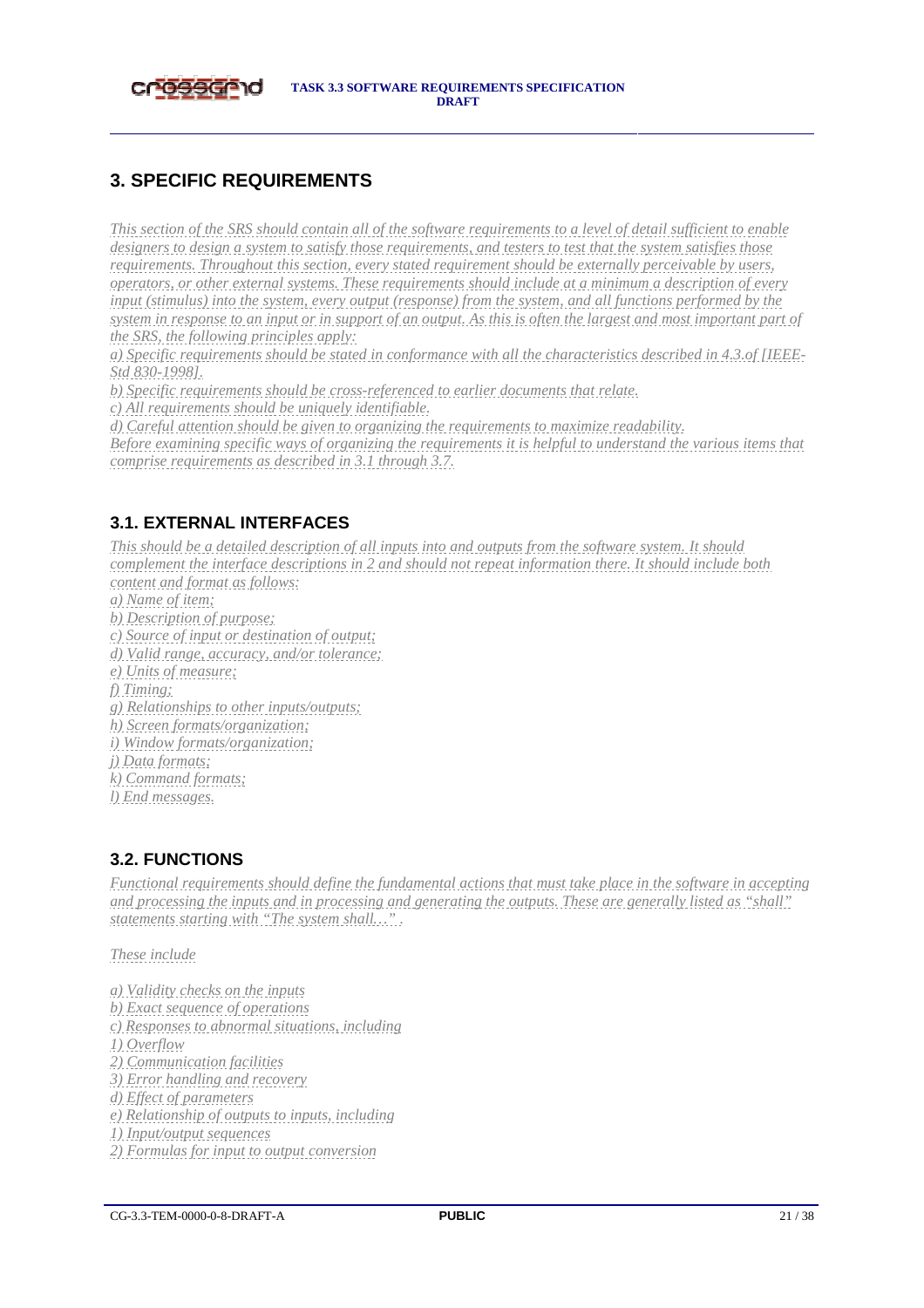ਤੱਤਰਵਾਹ

# **3. SPECIFIC REQUIREMENTS**

*This section of the SRS should contain all of the software requirements to a level of detail sufficient to enable designers to design a system to satisfy those requirements, and testers to test that the system satisfies those requirements. Throughout this section, every stated requirement should be externally perceivable by users, operators, or other external systems. These requirements should include at a minimum a description of every input (stimulus) into the system, every output (response) from the system, and all functions performed by the system in response to an input or in support of an output. As this is often the largest and most important part of the SRS, the following principles apply:*

*a) Specific requirements should be stated in conformance with all the characteristics described in 4.3.of [IEEE-Std 830-1998].*

*b) Specific requirements should be cross-referenced to earlier documents that relate.*

*c) All requirements should be uniquely identifiable.*

*d) Careful attention should be given to organizing the requirements to maximize readability.*

*Before examining specific ways of organizing the requirements it is helpful to understand the various items that comprise requirements as described in 3.1 through 3.7.*

# **3.1. EXTERNAL INTERFACES**

*This should be a detailed description of all inputs into and outputs from the software system. It should complement the interface descriptions in 2 and should not repeat information there. It should include both content and format as follows:*

*a) Name of item;*

*b) Description of purpose;*

*c) Source of input or destination of output;*

*d) Valid range, accuracy, and/or tolerance;*

*e) Units of measure;*

*f) Timing;*

*g) Relationships to other inputs/outputs;*

*h) Screen formats/organization;*

*i) Window formats/organization;*

*j) Data formats;*

*k) Command formats;*

*l) End messages.*

# **3.2. FUNCTIONS**

*Functional requirements should define the fundamental actions that must take place in the software in accepting and processing the inputs and in processing and generating the outputs. These are generally listed as "shall" statements starting with "The system shall…" .*

*These include*

*a) Validity checks on the inputs b) Exact sequence of operations c) Responses to abnormal situations, including 1) Overflow 2) Communication facilities 3) Error handling and recovery d) Effect of parameters e) Relationship of outputs to inputs, including 1) Input/output sequences 2) Formulas for input to output conversion*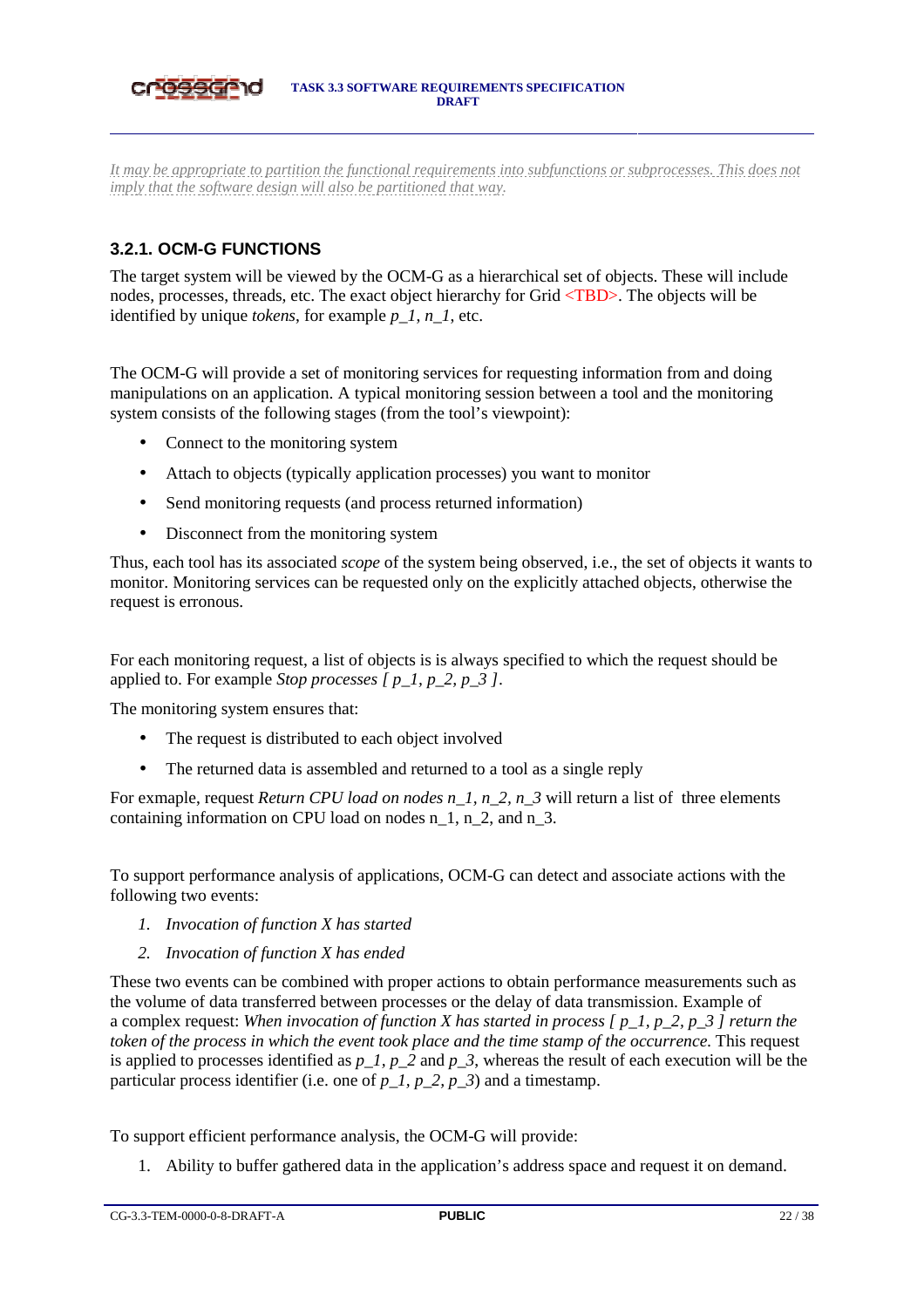*It may be appropriate to partition the functional requirements into subfunctions or subprocesses. This does not imply that the software design will also be partitioned that way.*

# **3.2.1. OCM-G FUNCTIONS**

The target system will be viewed by the OCM-G as a hierarchical set of objects. These will include nodes, processes, threads, etc. The exact object hierarchy for Grid <TBD>. The objects will be identified by unique *tokens*, for example *p\_1*, *n\_1*, etc.

The OCM-G will provide a set of monitoring services for requesting information from and doing manipulations on an application. A typical monitoring session between a tool and the monitoring system consists of the following stages (from the tool's viewpoint):

- Connect to the monitoring system
- Attach to objects (typically application processes) you want to monitor
- Send monitoring requests (and process returned information)
- Disconnect from the monitoring system

Thus, each tool has its associated *scope* of the system being observed, i.e., the set of objects it wants to monitor. Monitoring services can be requested only on the explicitly attached objects, otherwise the request is erronous.

For each monitoring request, a list of objects is is always specified to which the request should be applied to. For example *Stop processes [ p\_1, p\_2, p\_3 ]*.

The monitoring system ensures that:

- The request is distributed to each object involved
- The returned data is assembled and returned to a tool as a single reply

For exmaple, request *Return CPU load on nodes n\_1, n\_2, n\_3* will return a list of three elements containing information on CPU load on nodes n\_1, n\_2, and n\_3.

To support performance analysis of applications, OCM-G can detect and associate actions with the following two events:

- *1. Invocation of function X has started*
- *2. Invocation of function X has ended*

These two events can be combined with proper actions to obtain performance measurements such as the volume of data transferred between processes or the delay of data transmission. Example of a complex request: *When invocation of function X has started in process [ p\_1, p\_2, p\_3 ] return the token of the process in which the event took place and the time stamp of the occurrence. This request* is applied to processes identified as *p\_1, p\_2* and *p\_3*, whereas the result of each execution will be the particular process identifier (i.e. one of *p\_1, p\_2, p\_3*) and a timestamp.

To support efficient performance analysis, the OCM-G will provide:

1. Ability to buffer gathered data in the application's address space and request it on demand.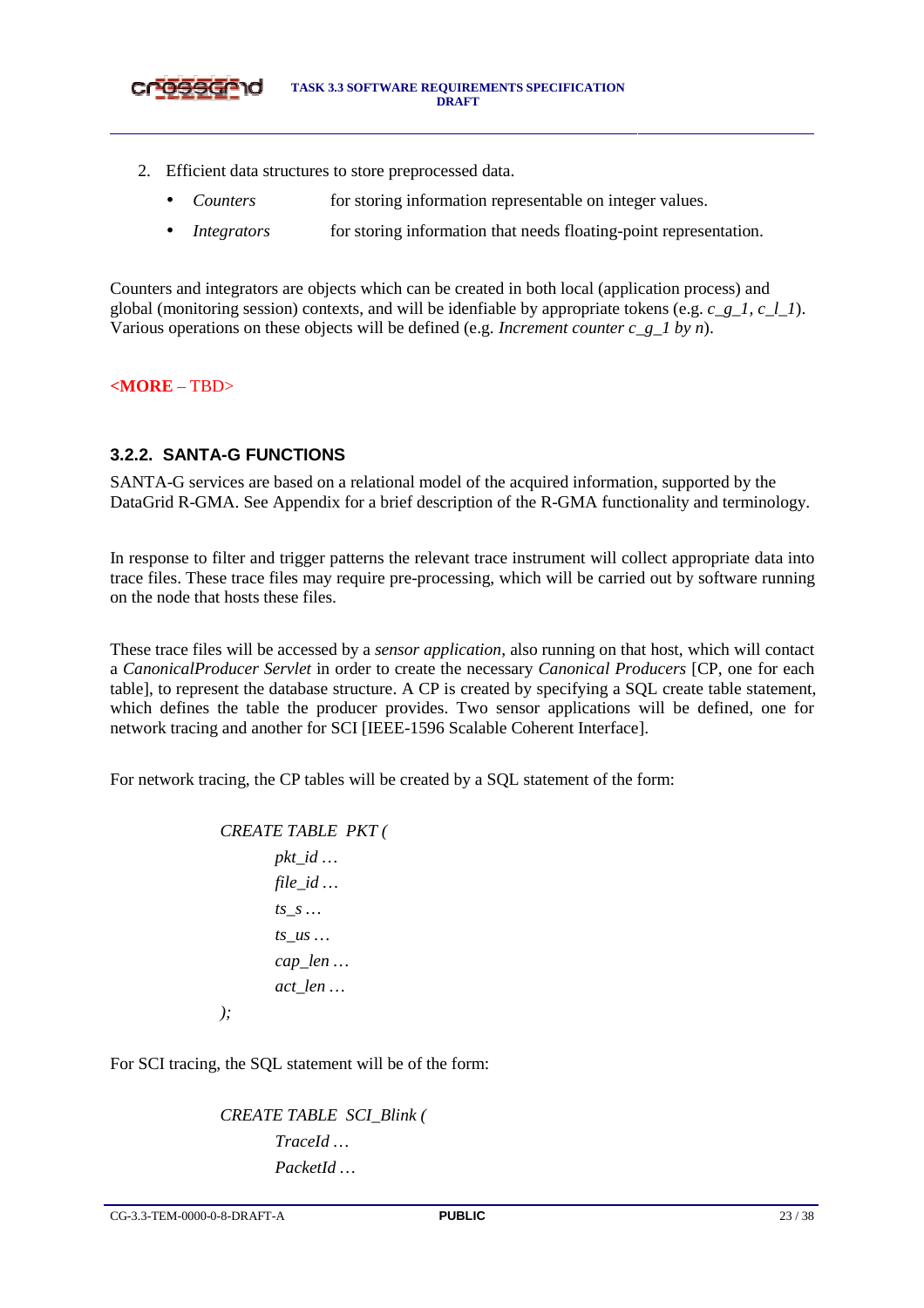- 2. Efficient data structures to store preprocessed data.
	- *Counters* for storing information representable on integer values.
	- *Integrators* for storing information that needs floating-point representation.

Counters and integrators are objects which can be created in both local (application process) and global (monitoring session) contexts, and will be idenfiable by appropriate tokens (e.g. *c\_g\_1, c\_l\_1*). Various operations on these objects will be defined (e.g. *Increment counter c\_g\_1 by n*).

#### **<MORE** – TBD>

## **3.2.2. SANTA-G FUNCTIONS**

SANTA-G services are based on a relational model of the acquired information, supported by the DataGrid R-GMA. See Appendix for a brief description of the R-GMA functionality and terminology.

In response to filter and trigger patterns the relevant trace instrument will collect appropriate data into trace files. These trace files may require pre-processing, which will be carried out by software running on the node that hosts these files.

These trace files will be accessed by a *sensor application*, also running on that host, which will contact a *CanonicalProducer Servlet* in order to create the necessary *Canonical Producers* [CP, one for each table], to represent the database structure. A CP is created by specifying a SQL create table statement, which defines the table the producer provides. Two sensor applications will be defined, one for network tracing and another for SCI [IEEE-1596 Scalable Coherent Interface].

For network tracing, the CP tables will be created by a SQL statement of the form:

*CREATE TABLE PKT ( pkt\_id … file\_id … ts\_s … ts\_us … cap\_len … act\_len … );*

For SCI tracing, the SQL statement will be of the form:

*CREATE TABLE SCI\_Blink ( TraceId … PacketId …*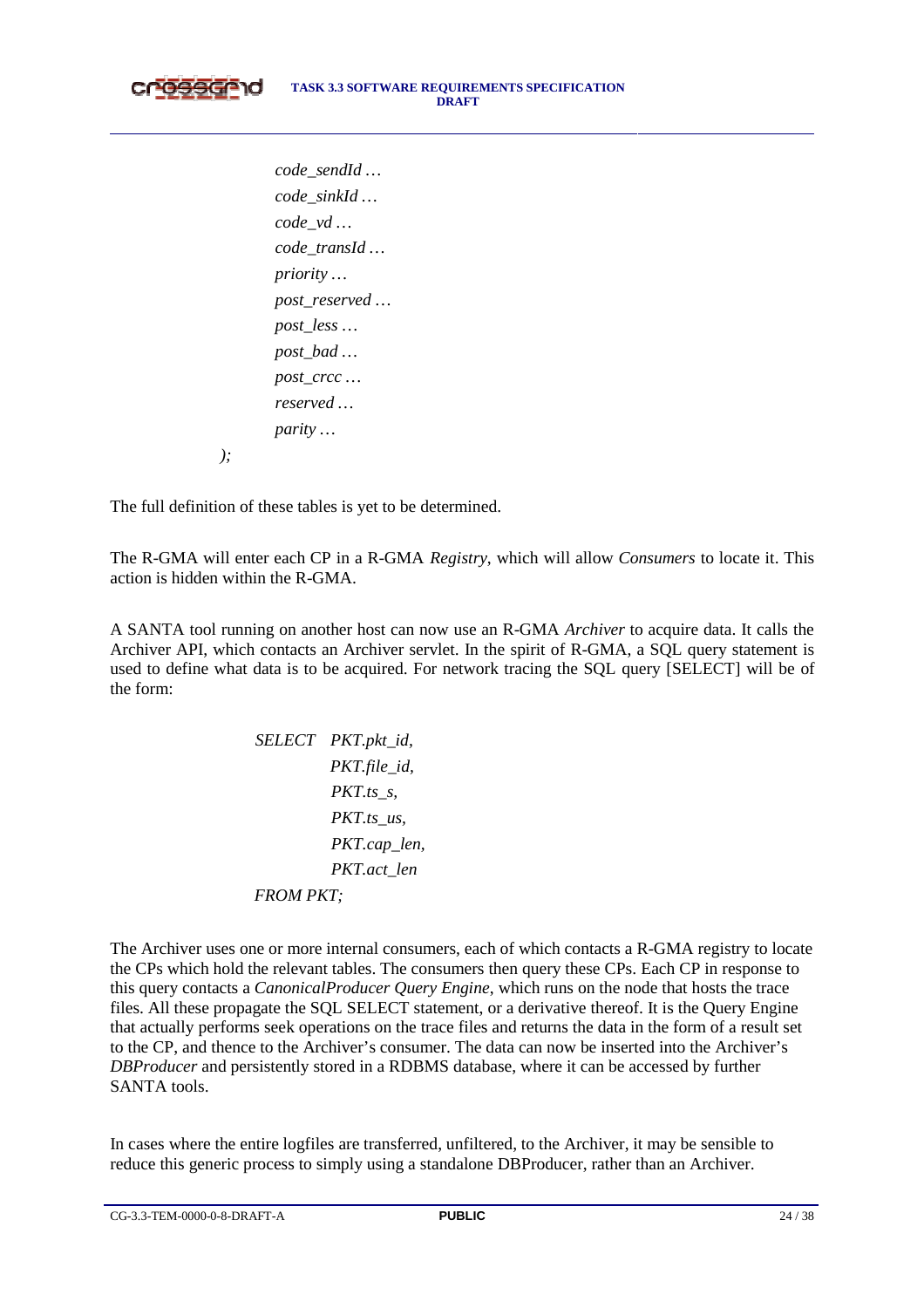*code\_sendId … code\_sinkId … code\_vd … code\_transId … priority … post\_reserved … post\_less … post\_bad … post\_crcc … reserved … parity …*

The full definition of these tables is yet to be determined.

*);*

The R-GMA will enter each CP in a R-GMA *Registry*, which will allow *Consumers* to locate it. This action is hidden within the R-GMA.

A SANTA tool running on another host can now use an R-GMA *Archiver* to acquire data. It calls the Archiver API, which contacts an Archiver servlet. In the spirit of R-GMA, a SQL query statement is used to define what data is to be acquired. For network tracing the SQL query [SELECT] will be of the form:

> *SELECT PKT.pkt\_id, PKT.file\_id, PKT.ts\_s, PKT.ts\_us, PKT.cap\_len, PKT.act\_len FROM PKT;*

The Archiver uses one or more internal consumers, each of which contacts a R-GMA registry to locate the CPs which hold the relevant tables. The consumers then query these CPs. Each CP in response to this query contacts a *CanonicalProducer Query Engine*, which runs on the node that hosts the trace files. All these propagate the SQL SELECT statement, or a derivative thereof. It is the Query Engine that actually performs seek operations on the trace files and returns the data in the form of a result set to the CP, and thence to the Archiver's consumer. The data can now be inserted into the Archiver's *DBProducer* and persistently stored in a RDBMS database, where it can be accessed by further SANTA tools.

In cases where the entire logfiles are transferred, unfiltered, to the Archiver, it may be sensible to reduce this generic process to simply using a standalone DBProducer, rather than an Archiver.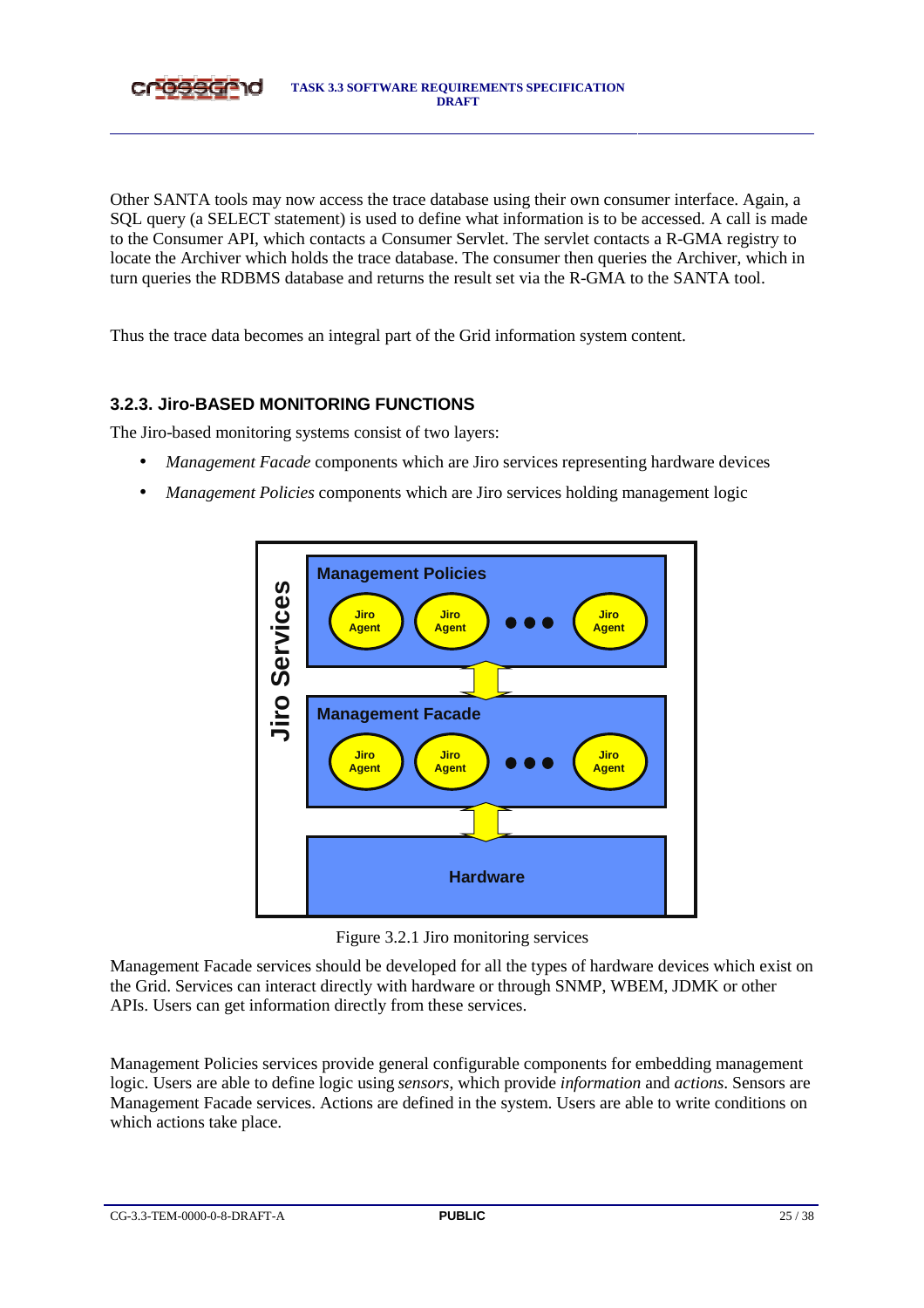Other SANTA tools may now access the trace database using their own consumer interface. Again, a SQL query (a SELECT statement) is used to define what information is to be accessed. A call is made to the Consumer API, which contacts a Consumer Servlet. The servlet contacts a R-GMA registry to locate the Archiver which holds the trace database. The consumer then queries the Archiver, which in turn queries the RDBMS database and returns the result set via the R-GMA to the SANTA tool.

Thus the trace data becomes an integral part of the Grid information system content.

# **3.2.3. Jiro-BASED MONITORING FUNCTIONS**

The Jiro-based monitoring systems consist of two layers:

- *Management Facade* components which are Jiro services representing hardware devices
- *Management Policies* components which are Jiro services holding management logic



Figure 3.2.1 Jiro monitoring services

Management Facade services should be developed for all the types of hardware devices which exist on the Grid. Services can interact directly with hardware or through SNMP, WBEM, JDMK or other APIs. Users can get information directly from these services.

Management Policies services provide general configurable components for embedding management logic. Users are able to define logic using *sensors*, which provide *information* and *actions*. Sensors are Management Facade services. Actions are defined in the system. Users are able to write conditions on which actions take place.

CG-3.3-TEM-0000-0-8-DRAFT-A **PUBLIC** 25 / 38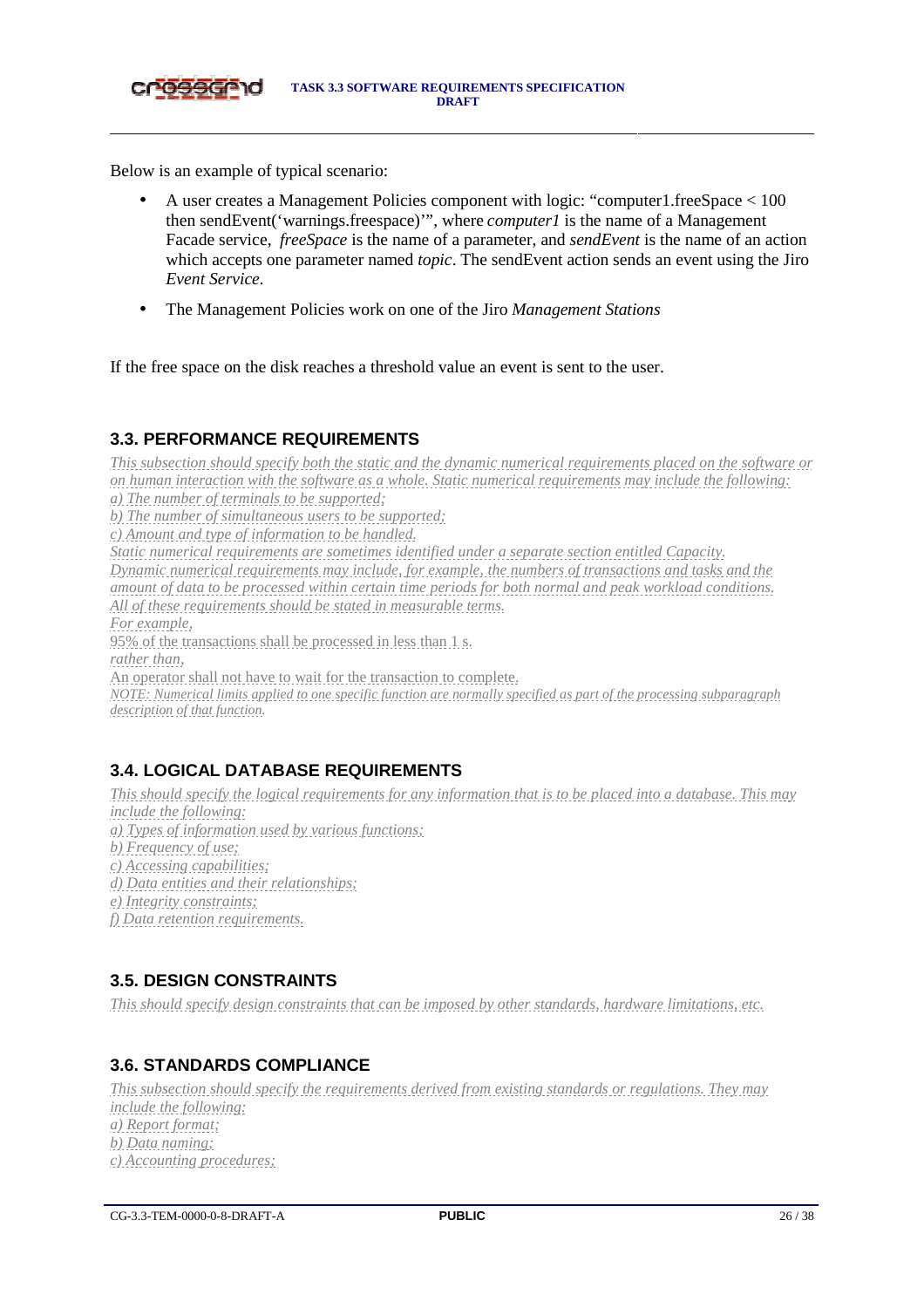Below is an example of typical scenario:

- A user creates a Management Policies component with logic: "computer1.freeSpace < 100 then sendEvent('warnings.freespace)'", where *computer1* is the name of a Management Facade service, *freeSpace* is the name of a parameter, and *sendEvent* is the name of an action which accepts one parameter named *topic*. The sendEvent action sends an event using the Jiro *Event Service*.
- The Management Policies work on one of the Jiro *Management Stations*

If the free space on the disk reaches a threshold value an event is sent to the user.

## **3.3. PERFORMANCE REQUIREMENTS**

*This subsection should specify both the static and the dynamic numerical requirements placed on the software or on human interaction with the software as a whole. Static numerical requirements may include the following: a) The number of terminals to be supported;*

*b) The number of simultaneous users to be supported;*

*c) Amount and type of information to be handled.*

*Static numerical requirements are sometimes identified under a separate section entitled Capacity. Dynamic numerical requirements may include, for example, the numbers of transactions and tasks and the amount of data to be processed within certain time periods for both normal and peak workload conditions. All of these requirements should be stated in measurable terms.*

*For example,*

95% of the transactions shall be processed in less than 1 s.

*rather than,*

An operator shall not have to wait for the transaction to complete.

*NOTE: Numerical limits applied to one specific function are normally specified as part of the processing subparagraph description of that function.*

#### **3.4. LOGICAL DATABASE REQUIREMENTS**

*This should specify the logical requirements for any information that is to be placed into a database. This may include the following: a) Types of information used by various functions; b) Frequency of use; c) Accessing capabilities; d) Data entities and their relationships; e) Integrity constraints; f) Data retention requirements.*

# **3.5. DESIGN CONSTRAINTS**

*This should specify design constraints that can be imposed by other standards, hardware limitations, etc.*

#### **3.6. STANDARDS COMPLIANCE**

*This subsection should specify the requirements derived from existing standards or regulations. They may include the following: a) Report format; b) Data naming; c) Accounting procedures;*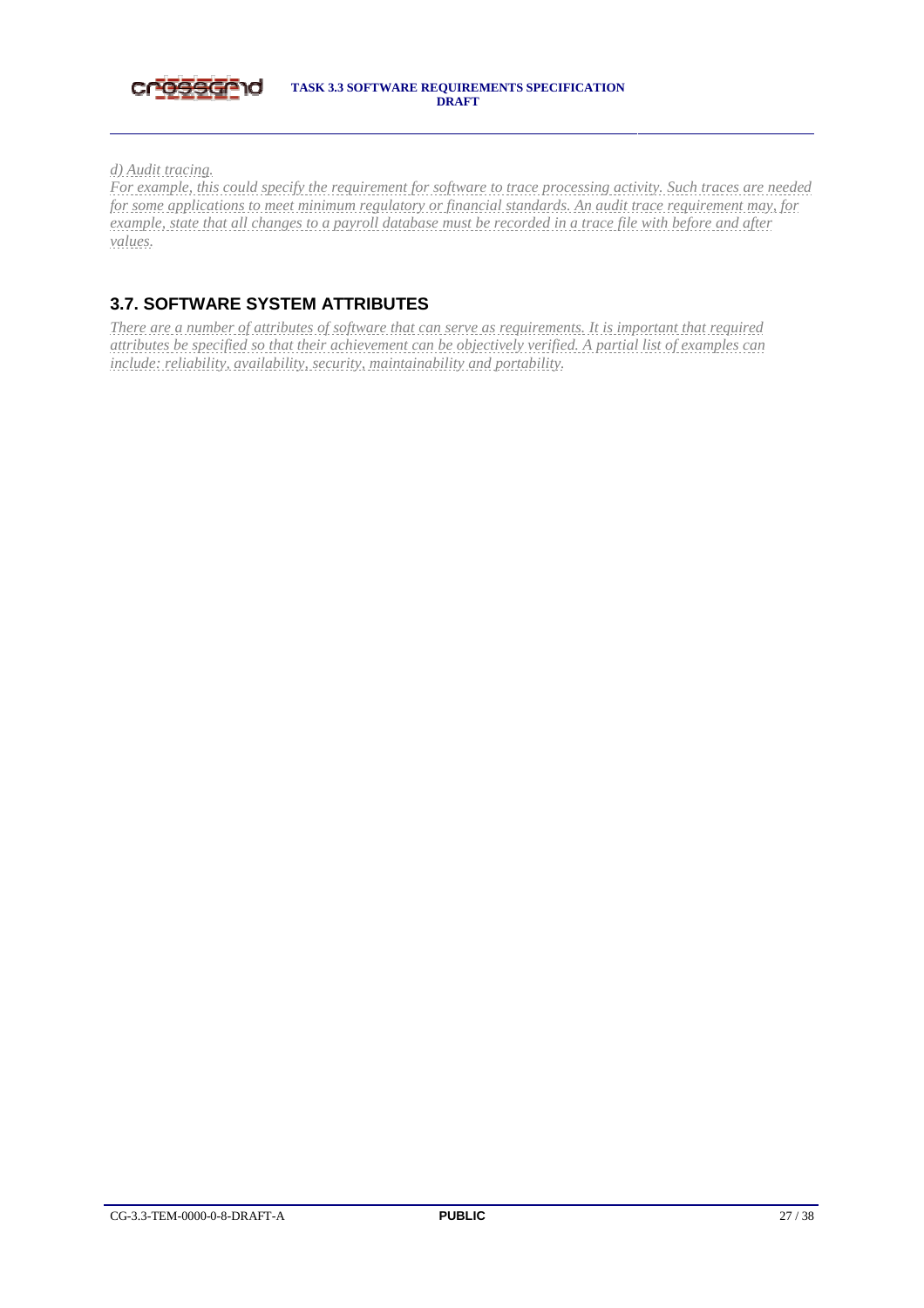*d) Audit tracing.*

*For example, this could specify the requirement for software to trace processing activity. Such traces are needed for some applications to meet minimum regulatory or financial standards. An audit trace requirement may, for example, state that all changes to a payroll database must be recorded in a trace file with before and after values.*

# **3.7. SOFTWARE SYSTEM ATTRIBUTES**

*There are a number of attributes of software that can serve as requirements. It is important that required attributes be specified so that their achievement can be objectively verified. A partial list of examples can include: reliability, availability, security, maintainability and portability.*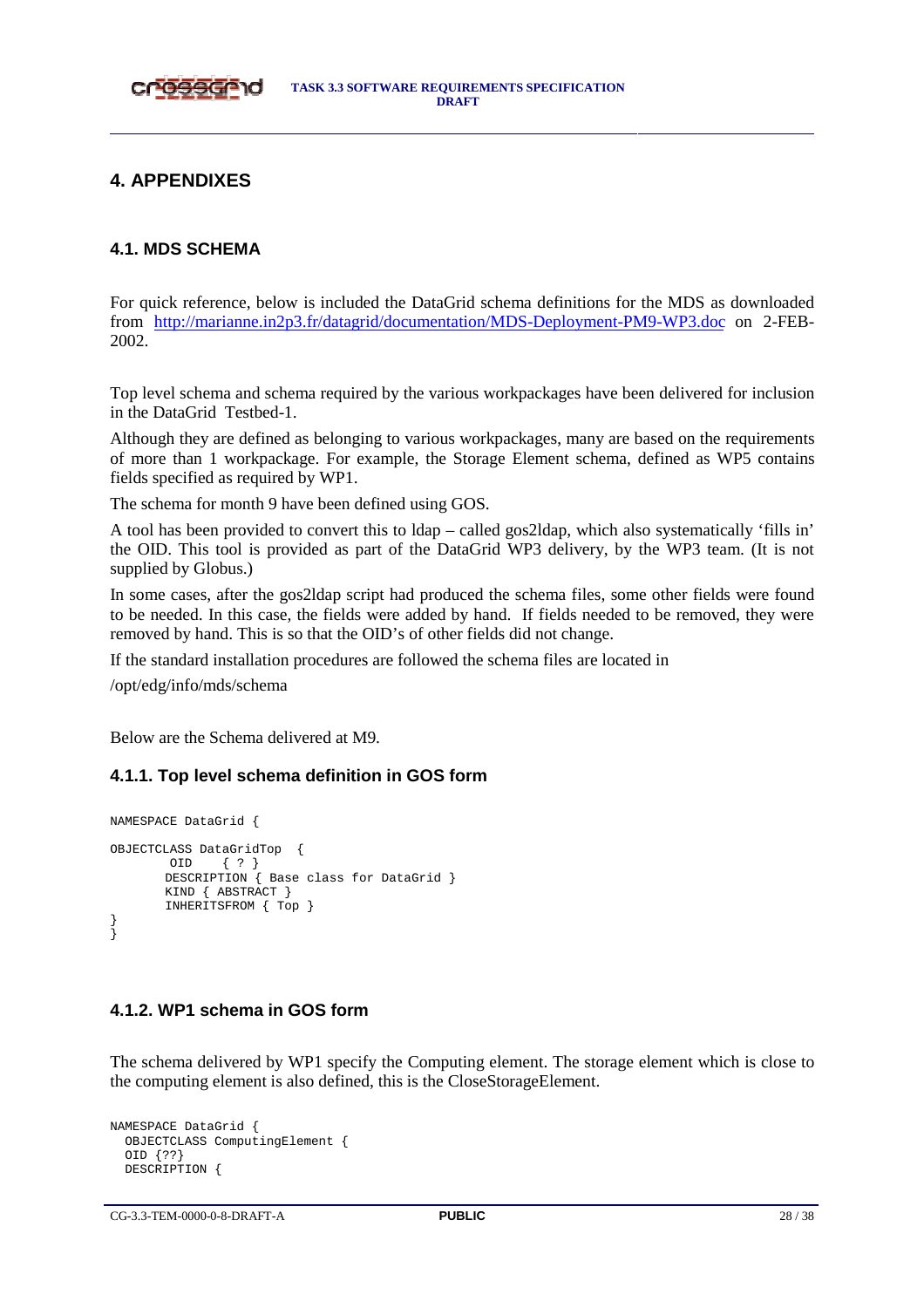# **4. APPENDIXES**

## **4.1. MDS SCHEMA**

For quick reference, below is included the DataGrid schema definitions for the MDS as downloaded from http://marianne.in2p3.fr/datagrid/documentation/MDS-Deployment-PM9-WP3.doc on 2-FEB-2002.

Top level schema and schema required by the various workpackages have been delivered for inclusion in the DataGrid Testbed-1.

Although they are defined as belonging to various workpackages, many are based on the requirements of more than 1 workpackage. For example, the Storage Element schema, defined as WP5 contains fields specified as required by WP1.

The schema for month 9 have been defined using GOS.

A tool has been provided to convert this to ldap – called gos2ldap, which also systematically 'fills in' the OID. This tool is provided as part of the DataGrid WP3 delivery, by the WP3 team. (It is not supplied by Globus.)

In some cases, after the gos2ldap script had produced the schema files, some other fields were found to be needed. In this case, the fields were added by hand. If fields needed to be removed, they were removed by hand. This is so that the OID's of other fields did not change.

If the standard installation procedures are followed the schema files are located in

/opt/edg/info/mds/schema

Below are the Schema delivered at M9.

#### **4.1.1. Top level schema definition in GOS form**

```
NAMESPACE DataGrid {
OBJECTCLASS DataGridTop {
 OID { ? }
       DESCRIPTION { Base class for DataGrid }
       KIND { ABSTRACT }
       INHERITSFROM { Top }
}
}
```
#### **4.1.2. WP1 schema in GOS form**

The schema delivered by WP1 specify the Computing element. The storage element which is close to the computing element is also defined, this is the CloseStorageElement.

```
NAMESPACE DataGrid {
   OBJECTCLASS ComputingElement {
   OID {??}
   DESCRIPTION {
```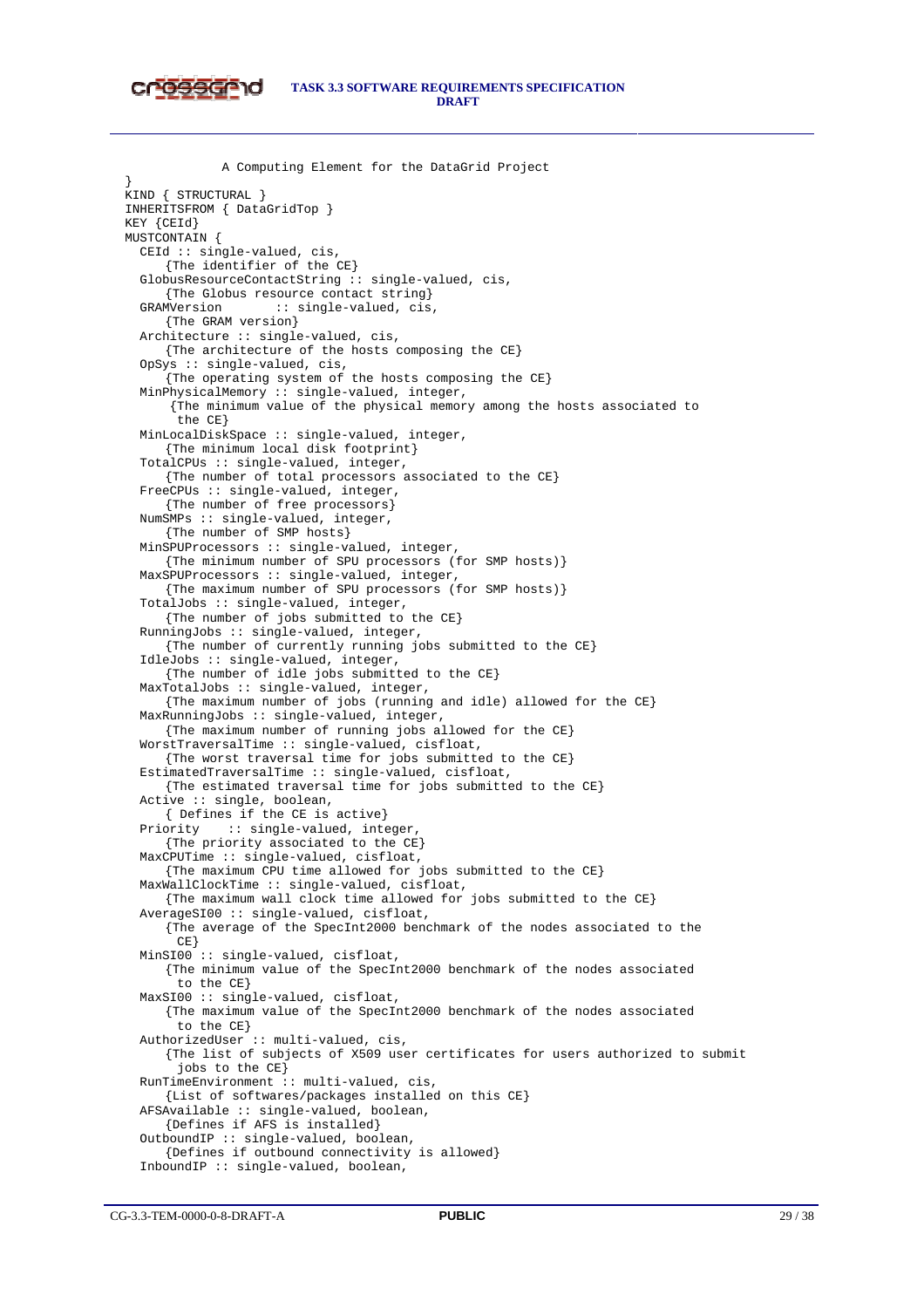

 A Computing Element for the DataGrid Project } KIND { STRUCTURAL } INHERITSFROM { DataGridTop } KEY {CEId} MUSTCONTAIN<sup>{</sup> CEId :: single-valued, cis, {The identifier of the CE} GlobusResourceContactString :: single-valued, cis, {The Globus resource contact string} GRAMVersion :: single-valued, cis, {The GRAM version} Architecture :: single-valued, cis, {The architecture of the hosts composing the CE} OpSys :: single-valued, cis, {The operating system of the hosts composing the CE} MinPhysicalMemory :: single-valued, integer, {The minimum value of the physical memory among the hosts associated to the CE} MinLocalDiskSpace :: single-valued, integer, {The minimum local disk footprint} TotalCPUs :: single-valued, integer, {The number of total processors associated to the CE} FreeCPUs :: single-valued, integer, {The number of free processors} NumSMPs :: single-valued, integer, {The number of SMP hosts} MinSPUProcessors :: single-valued, integer, {The minimum number of SPU processors (for SMP hosts)} MaxSPUProcessors :: single-valued, integer, {The maximum number of SPU processors (for SMP hosts)} TotalJobs :: single-valued, integer, {The number of jobs submitted to the CE} RunningJobs :: single-valued, integer, {The number of currently running jobs submitted to the CE} IdleJobs :: single-valued, integer, {The number of idle jobs submitted to the CE} MaxTotalJobs :: single-valued, integer, {The maximum number of jobs (running and idle) allowed for the CE} MaxRunningJobs :: single-valued, integer, {The maximum number of running jobs allowed for the CE} WorstTraversalTime :: single-valued, cisfloat, {The worst traversal time for jobs submitted to the CE} EstimatedTraversalTime :: single-valued, cisfloat, {The estimated traversal time for jobs submitted to the CE} Active :: single, boolean, { Defines if the CE is active} Priority :: single-valued, integer, {The priority associated to the CE} MaxCPUTime :: single-valued, cisfloat, {The maximum CPU time allowed for jobs submitted to the CE} MaxWallClockTime :: single-valued, cisfloat, {The maximum wall clock time allowed for jobs submitted to the CE} AverageSI00 :: single-valued, cisfloat, {The average of the SpecInt2000 benchmark of the nodes associated to the CE} MinSI00:: single-valued, cisfloat, {The minimum value of the SpecInt2000 benchmark of the nodes associated to the CE} MaxSI00 :: single-valued, cisfloat, {The maximum value of the SpecInt2000 benchmark of the nodes associated to the CE} AuthorizedUser:: multi-valued, cis, {The list of subjects of X509 user certificates for users authorized to submit jobs to the CE} RunTimeEnvironment :: multi-valued, cis, {List of softwares/packages installed on this CE} AFSAvailable :: single-valued, boolean, {Defines if AFS is installed} OutboundIP :: single-valued, boolean, {Defines if outbound connectivity is allowed} InboundIP :: single-valued, boolean,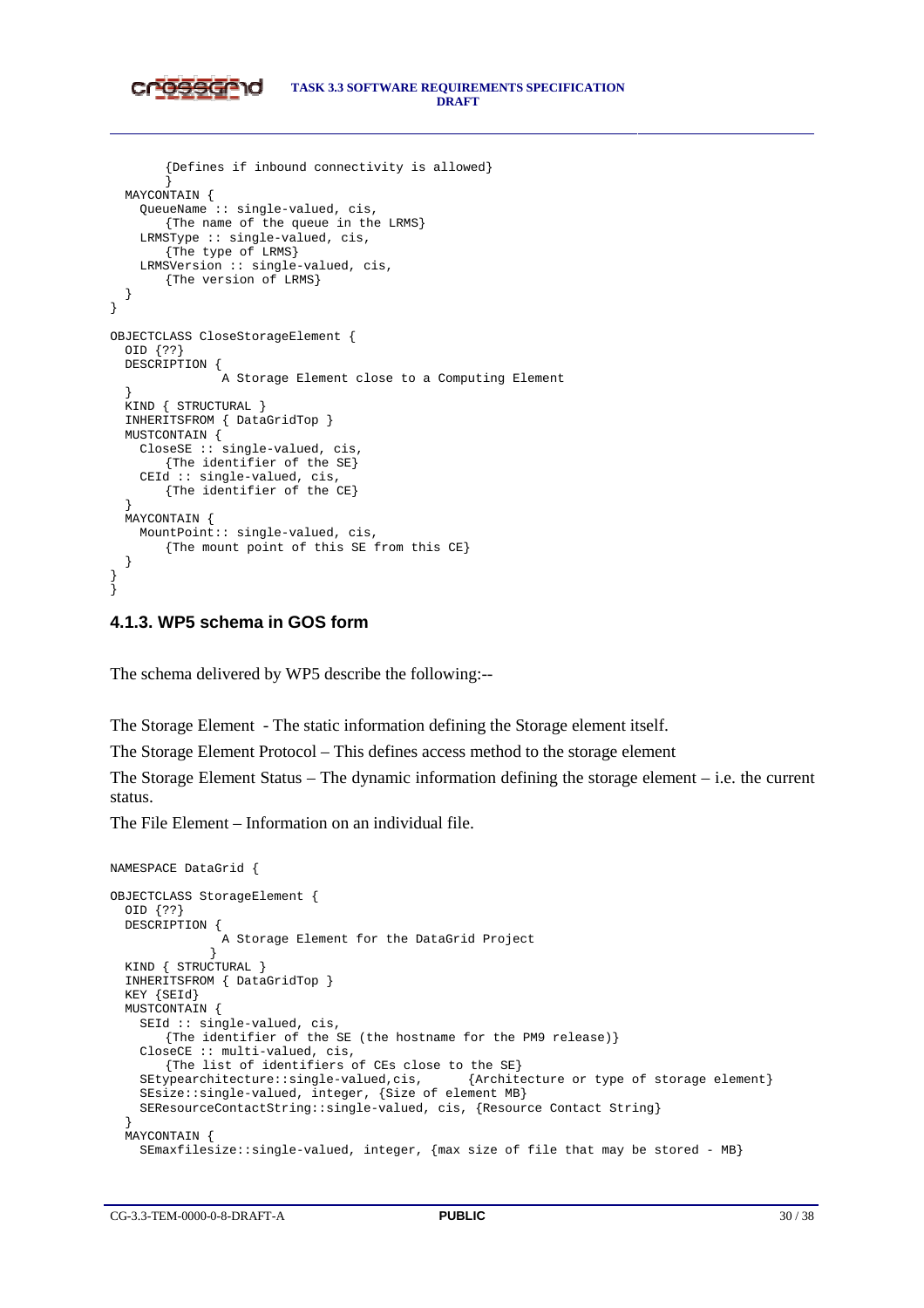

```
{Defines if inbound connectivity is allowed}
        }
 MAYCONTAIN {
     QueueName :: single-valued, cis,
       {The name of the queue in the LRMS}
     LRMSType :: single-valued, cis,
        {The type of LRMS}
     LRMSVersion :: single-valued, cis,
       {The version of LRMS}
   }
}
OBJECTCLASS CloseStorageElement {
   OID {??}
   DESCRIPTION {
                 A Storage Element close to a Computing Element
 }
   KIND { STRUCTURAL }
   INHERITSFROM { DataGridTop }
   MUSTCONTAIN {
     CloseSE :: single-valued, cis,
        {The identifier of the SE}
     CEId :: single-valued, cis,
       {The identifier of the CE}
 }
   MAYCONTAIN {
     MountPoint:: single-valued, cis,
        {The mount point of this SE from this CE}
   }
}
}
```
# **4.1.3. WP5 schema in GOS form**

The schema delivered by WP5 describe the following:--

The Storage Element - The static information defining the Storage element itself.

The Storage Element Protocol – This defines access method to the storage element

The Storage Element Status – The dynamic information defining the storage element – i.e. the current status.

The File Element – Information on an individual file.

```
NAMESPACE DataGrid {
OBJECTCLASS StorageElement {
   OID {??}
   DESCRIPTION {
               .<br>A Storage Element for the DataGrid Project
               }
   KIND { STRUCTURAL }
   INHERITSFROM { DataGridTop }
   KEY {SEId}
   MUSTCONTAIN {
     SEId :: single-valued, cis,
        {The identifier of the SE (the hostname for the PM9 release)}
     CloseCE :: multi-valued, cis,
       {The list of identifiers of CEs close to the SE}
     SEtypearchitecture::single-valued,cis, {Architecture or type of storage element}
    SEsize::single-valued, integer, {Size of element MB}
     SEResourceContactString::single-valued, cis, {Resource Contact String}
 }
  MAYCONTAIN {
     SEmaxfilesize::single-valued, integer, {max size of file that may be stored - MB}
```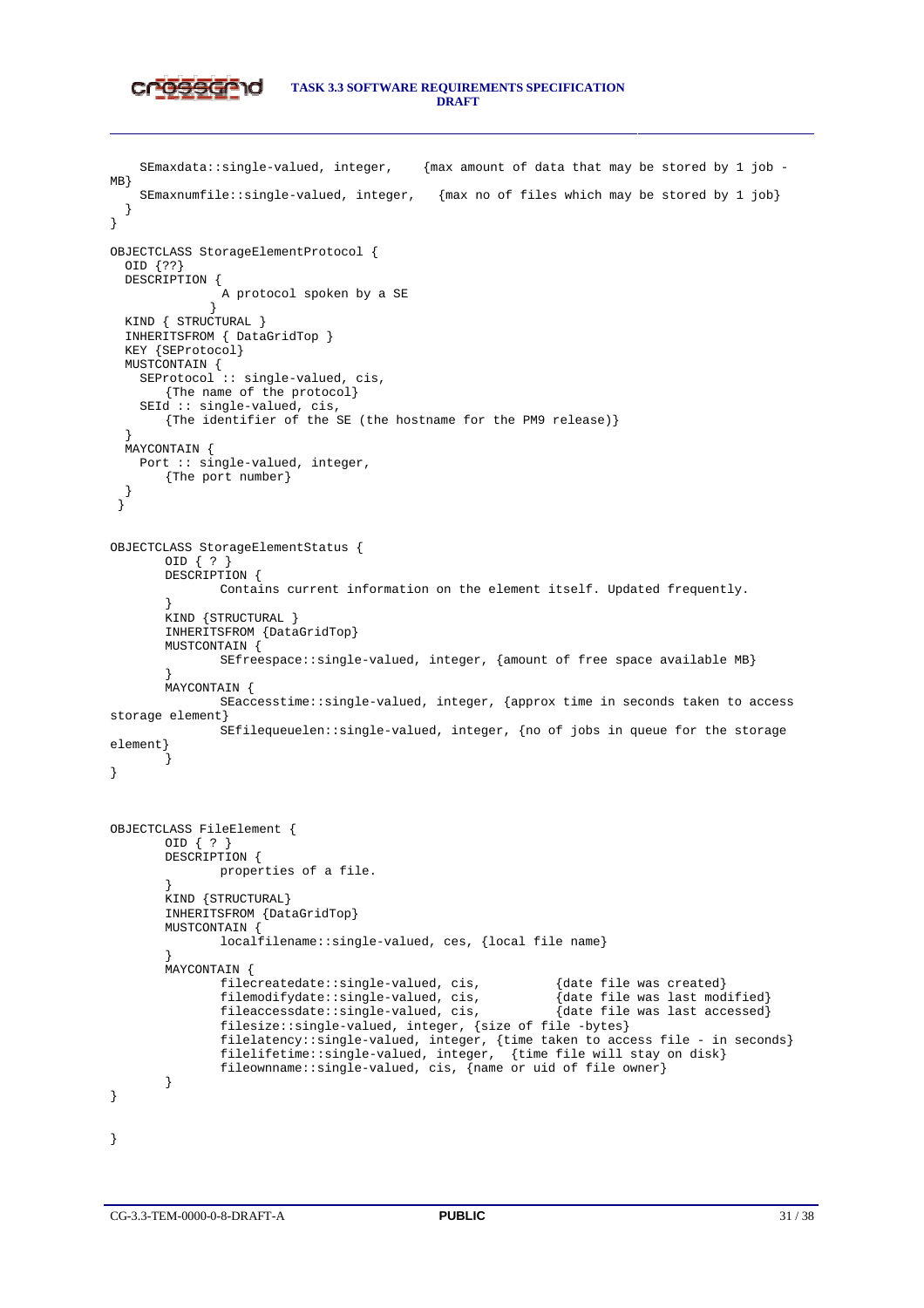# ਸ਼ਰ∩ਾ

#### **TASK 3.3 SOFTWARE REQUIREMENTS SPECIFICATION DRAFT**

```
SEmaxdata::single-valued, integer, \{ max amount of data that may be stored by 1 job -
MB}
     SEmaxnumfile::single-valued, integer, {max no of files which may be stored by 1 job}
   }
}
OBJECTCLASS StorageElementProtocol {
   OID {??}
   DESCRIPTION {
                 A protocol spoken by a SE
               }
   KIND { STRUCTURAL }
   INHERITSFROM { DataGridTop }
   KEY {SEProtocol}
   MUSTCONTAIN {
     SEProtocol :: single-valued, cis,
        {The name of the protocol}
     SEId :: single-valued, cis,
        {The identifier of the SE (the hostname for the PM9 release)}
 }
   MAYCONTAIN {
     Port :: single-valued, integer,
        {The port number}
   }
  }
OBJECTCLASS StorageElementStatus {
        OID { ? }
        DESCRIPTION {
                Contains current information on the element itself. Updated frequently.
        }
        KIND {STRUCTURAL }
        INHERITSFROM {DataGridTop}
        MUSTCONTAIN {
                SEfreespace::single-valued, integer, {amount of free space available MB}
        }
        MAYCONTAIN {
                SEaccesstime::single-valued, integer, {approx time in seconds taken to access
storage element}
                SEfilequeuelen::single-valued, integer, {no of jobs in queue for the storage
element<sup>}</sup>
        }
}
OBJECTCLASS FileElement {
        OID { ? }
        DESCRIPTION {
                properties of a file.
        }
        KIND {STRUCTURAL}
        INHERITSFROM {DataGridTop}
        MUSTCONTAIN {
                localfilename::single-valued, ces, {local file name}
        }
        MAYCONTAIN {
                filecreatedate::single-valued, cis, {defile was created}<br>filemodifydate::single-valued, cis, {date file was last modified}filemodifydate::single-valued, cis, \{date file was last modified}<br>fileaccessdate::single-valued, cis, \{date file was last accessed}
                fileaccessdate::single-valued, cis,filesize::single-valued, integer, {size of file -bytes}
                filelatency::single-valued, integer, {time taken to access file - in seconds}
                filelifetime::single-valued, integer, {time file will stay on disk}
                fileownname::single-valued, cis, {name or uid of file owner}
        }
}
}
```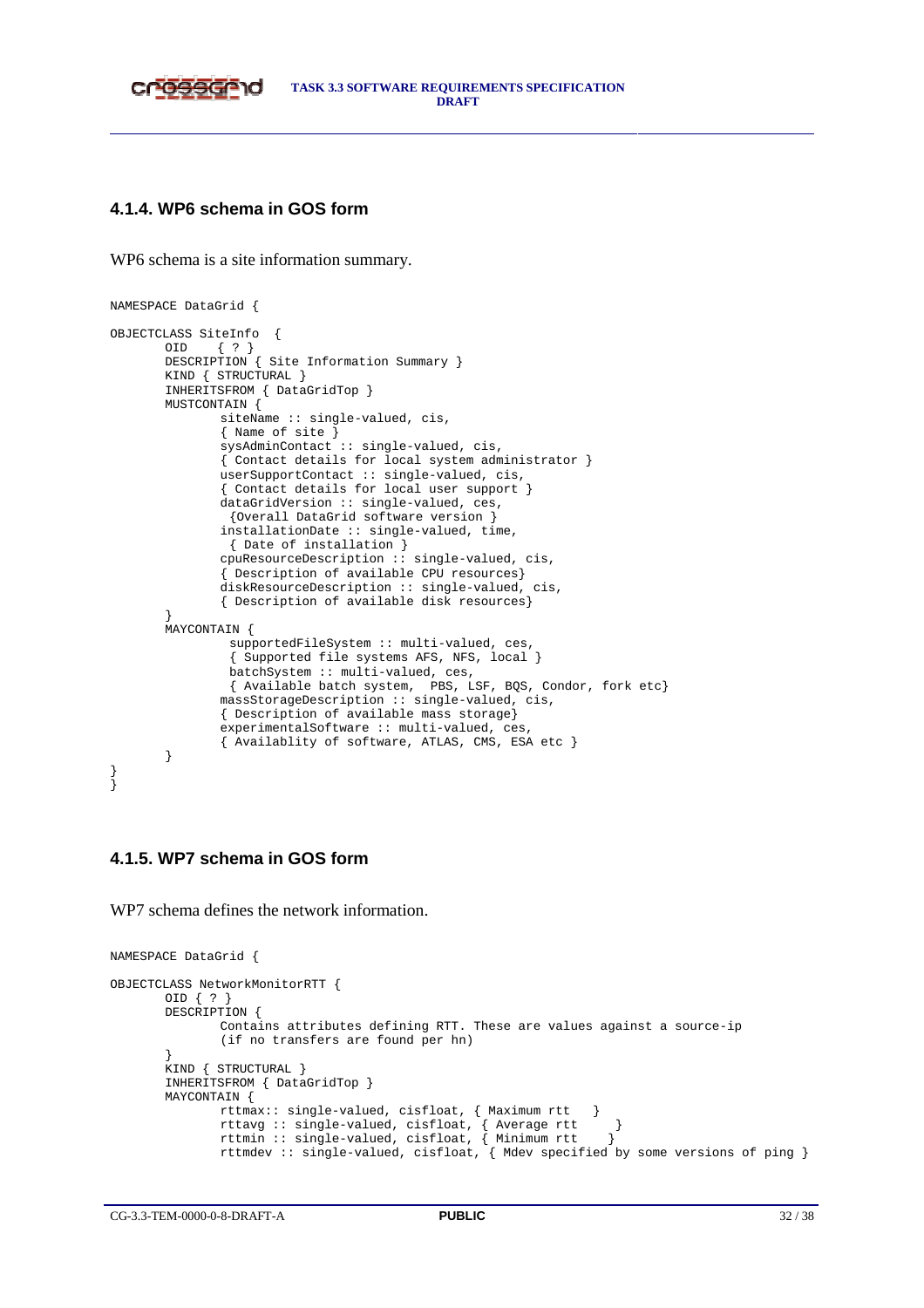

# **4.1.4. WP6 schema in GOS form**

WP6 schema is a site information summary.

```
NAMESPACE DataGrid {
OBJECTCLASS SiteInfo {
              \{ ? \}DESCRIPTION { Site Information Summary }
       KIND { STRUCTURAL }
       INHERITSFROM { DataGridTop }
       MUSTCONTAIN {
               siteName :: single-valued, cis,
               { Name of site }
               sysAdminContact :: single-valued, cis,
               { Contact details for local system administrator }
               userSupportContact :: single-valued, cis,
               { Contact details for local user support }
               dataGridVersion :: single-valued, ces,
                 {Overall DataGrid software version }
               installationDate :: single-valued, time,
                 { Date of installation }
               cpuResourceDescription :: single-valued, cis,
               { Description of available CPU resources}
               diskResourceDescription :: single-valued, cis,
               { Description of available disk resources}
        }
        MAYCONTAIN {
                supportedFileSystem :: multi-valued, ces,
                 { Supported file systems AFS, NFS, local }
                 batchSystem :: multi-valued, ces,
                 { Available batch system, PBS, LSF, BQS, Condor, fork etc}
               massStorageDescription :: single-valued, cis,
               { Description of available mass storage}
               experimentalSoftware :: multi-valued, ces,
               { Availablity of software, ATLAS, CMS, ESA etc }
       }
}
}
```
#### **4.1.5. WP7 schema in GOS form**

WP7 schema defines the network information.

```
NAMESPACE DataGrid {
OBJECTCLASS NetworkMonitorRTT {
       OID { ? }
       DESCRIPTION {
              Contains attributes defining RTT. These are values against a source-ip
              (if no transfers are found per hn)
       }
       KIND { STRUCTURAL }
       INHERITSFROM { DataGridTop }
       MAYCONTAIN {
              rttmax:: single-valued, cisfloat, { Maximum rtt }
               rttavg :: single-valued, cisfloat, { Average rtt }
               rttmin :: single-valued, cisfloat, { Minimum rtt }
              rttmdev :: single-valued, cisfloat, { Mdev specified by some versions of ping }
```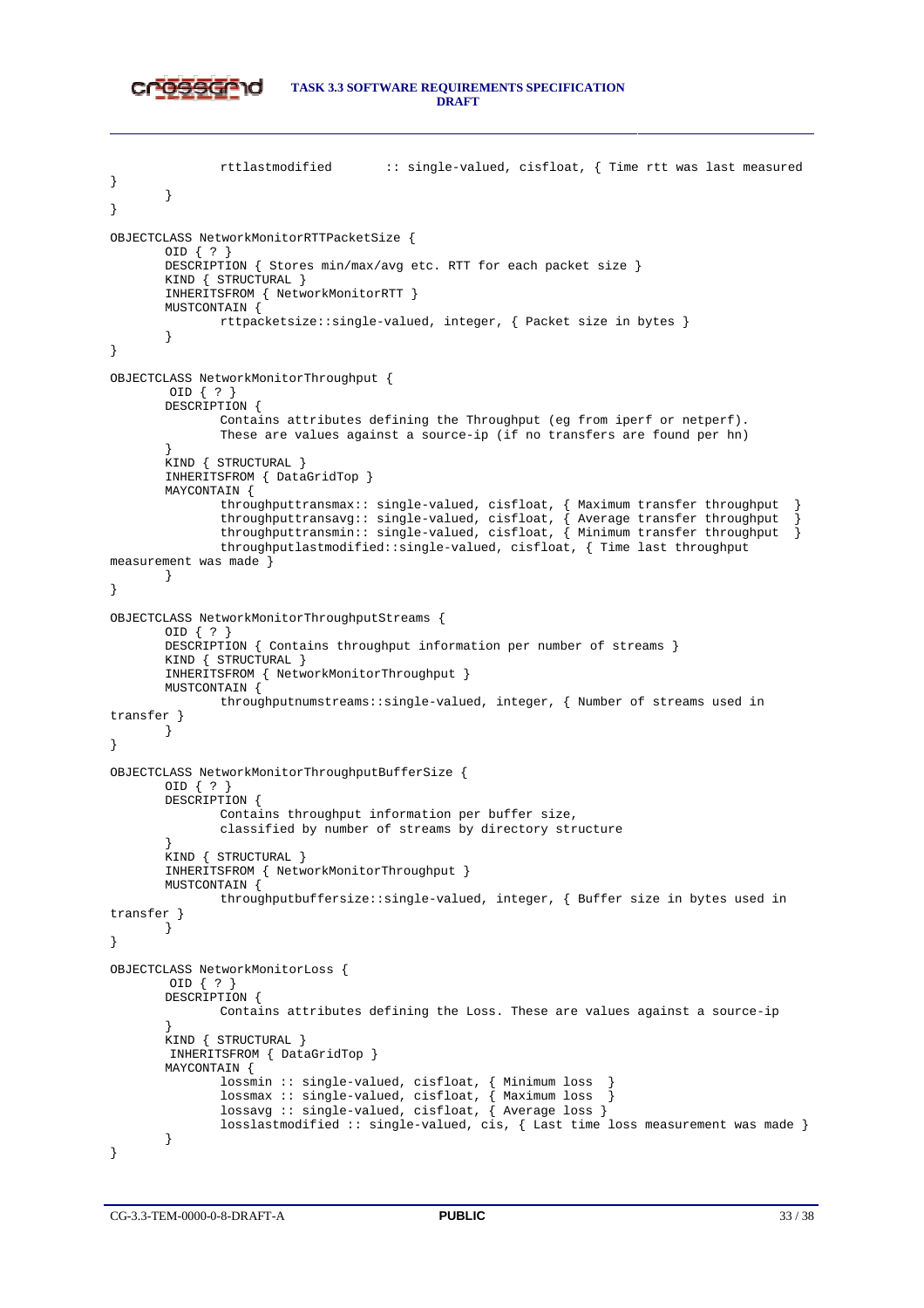

#### **TASK 3.3 SOFTWARE REQUIREMENTS SPECIFICATION DRAFT**

```
rttlastmodified :: single-valued, cisfloat, { Time rtt was last measured
}
       }
}
OBJECTCLASS NetworkMonitorRTTPacketSize {
       OID { ? }
       DESCRIPTION { Stores min/max/avg etc. RTT for each packet size }
       KIND { STRUCTURAL }
       INHERITSFROM { NetworkMonitorRTT }
       MUSTCONTAIN {
               rttpacketsize::single-valued, integer, { Packet size in bytes }
       }
}
OBJECTCLASS NetworkMonitorThroughput {
         OID { ? }
       DESCRIPTION {
                Contains attributes defining the Throughput (eg from iperf or netperf).
               These are values against a source-ip (if no transfers are found per hn)
        }
       KIND { STRUCTURAL }
       INHERITSFROM { DataGridTop }
       MAYCONTAIN {
               throughputtransmax:: single-valued, cisfloat, { Maximum transfer throughput }
               throughputtransavg:: single-valued, cisfloat, { Average transfer throughput }
               throughputtransmin:: single-valued, cisfloat, { Minimum transfer throughput }
               throughputlastmodified::single-valued, cisfloat, { Time last throughput
measurement was made }
       }
}
OBJECTCLASS NetworkMonitorThroughputStreams {
       OID { ? }
       DESCRIPTION { Contains throughput information per number of streams }
       KIND { STRUCTURAL }
       INHERITSFROM { NetworkMonitorThroughput }
       MUSTCONTAIN {
               throughputnumstreams::single-valued, integer, { Number of streams used in
transfer }
       }
}
OBJECTCLASS NetworkMonitorThroughputBufferSize {
       OID { ? }
       DESCRIPTION {
               Contains throughput information per buffer size,
               classified by number of streams by directory structure
        }
       KIND { STRUCTURAL }
       INHERITSFROM { NetworkMonitorThroughput }
       MUSTCONTAIN {
               throughputbuffersize::single-valued, integer, { Buffer size in bytes used in
transfer }
       }
}
OBJECTCLASS NetworkMonitorLoss {
         OID { ? }
       DESCRIPTION {
               Contains attributes defining the Loss. These are values against a source-ip
       \overline{1}KIND { STRUCTURAL }
         INHERITSFROM { DataGridTop }
       MAYCONTAIN {
               lossmin :: single-valued, cisfloat, { Minimum loss }
               lossmax :: single-valued, cisfloat, { Maximum loss }
               lossavg :: single-valued, cisfloat, { Average loss }
               losslastmodified :: single-valued, cis, { Last time loss measurement was made }
        }
}
```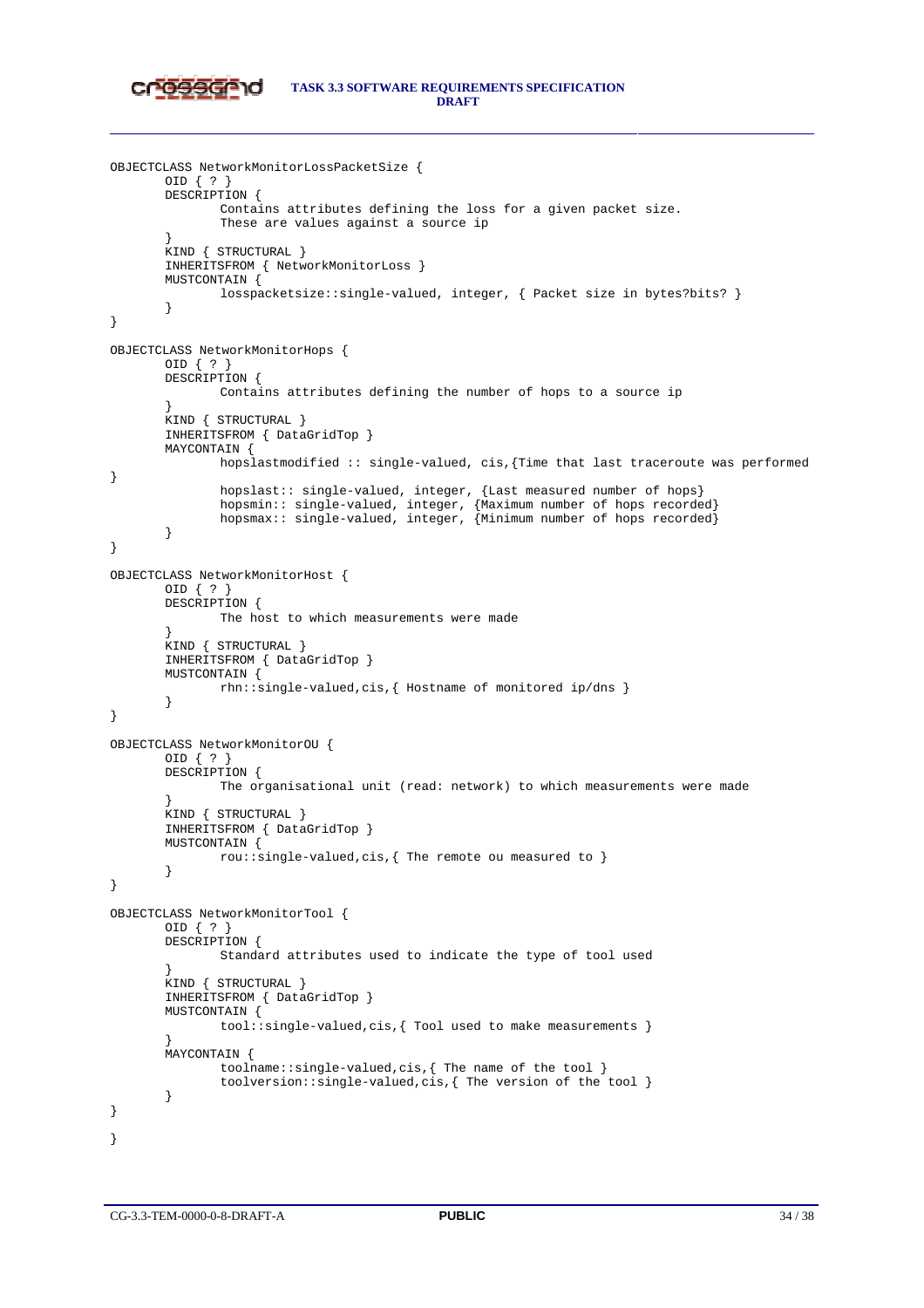

```
OBJECTCLASS NetworkMonitorLossPacketSize {
       OID { ? }
       DESCRIPTION
               Contains attributes defining the loss for a given packet size.
               These are values against a source ip
        }
        KIND { STRUCTURAL }
       INHERITSFROM { NetworkMonitorLoss }
       MUSTCONTAIN {
               losspacketsize::single-valued, integer, { Packet size in bytes?bits? }
       }
}
OBJECTCLASS NetworkMonitorHops {
       OID { ? }
       DESCRIPTION {
               Contains attributes defining the number of hops to a source ip
        }
       KIND { STRUCTURAL }
       INHERITSFROM { DataGridTop }
       MAYCONTAIN {
               hopslastmodified :: single-valued, cis,{Time that last traceroute was performed
}
               hopslast:: single-valued, integer, {Last measured number of hops}
               hopsmin:: single-valued, integer, {Maximum number of hops recorded}
               hopsmax:: single-valued, integer, {Minimum number of hops recorded}
        }
}
OBJECTCLASS NetworkMonitorHost {
       OID { ? }
       DESCRIPTION {
               The host to which measurements were made
        }
       KIND { STRUCTURAL }
       INHERITSFROM { DataGridTop }
       MUSTCONTAIN {
               rhn::single-valued,cis,{ Hostname of monitored ip/dns }
       }
}
OBJECTCLASS NetworkMonitorOU {
       OID { ? }
       DESCRIPTION {
               The organisational unit (read: network) to which measurements were made
        }
       KIND { STRUCTURAL }
       INHERITSFROM { DataGridTop }
       MUSTCONTAIN {
               rou::single-valued,cis,{ The remote ou measured to }
       }
}
OBJECTCLASS NetworkMonitorTool {
       OID { ? }
       DESCRIPTION {
               Standard attributes used to indicate the type of tool used
        }
        KIND { STRUCTURAL }
       INHERITSFROM { DataGridTop }
       MUSTCONTAIN {
               tool::single-valued,cis,{ Tool used to make measurements }
       }
       MAYCONTAIN {
               toolname::single-valued,cis,{ The name of the tool }
               toolversion::single-valued,cis,{ The version of the tool }
       }
}
}
```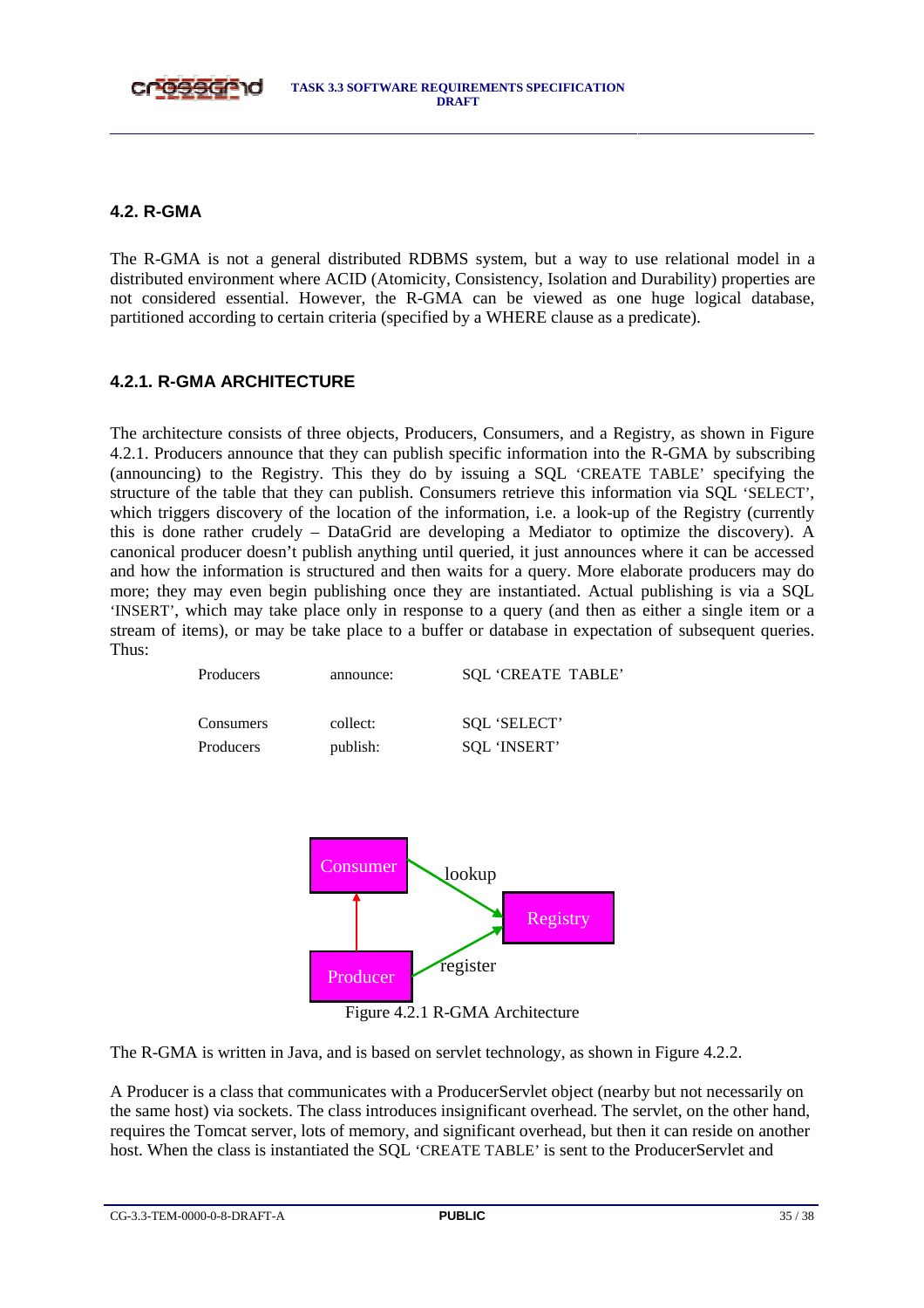### **4.2. R-GMA**

The R-GMA is not a general distributed RDBMS system, but a way to use relational model in a distributed environment where ACID (Atomicity, Consistency, Isolation and Durability) properties are not considered essential. However, the R-GMA can be viewed as one huge logical database, partitioned according to certain criteria (specified by a WHERE clause as a predicate).

# **4.2.1. R-GMA ARCHITECTURE**

The architecture consists of three objects, Producers, Consumers, and a Registry, as shown in Figure 4.2.1. Producers announce that they can publish specific information into the R-GMA by subscribing (announcing) to the Registry. This they do by issuing a SQL 'CREATE TABLE' specifying the structure of the table that they can publish. Consumers retrieve this information via SQL 'SELECT', which triggers discovery of the location of the information, i.e. a look-up of the Registry (currently this is done rather crudely – DataGrid are developing a Mediator to optimize the discovery). A canonical producer doesn't publish anything until queried, it just announces where it can be accessed and how the information is structured and then waits for a query. More elaborate producers may do more; they may even begin publishing once they are instantiated. Actual publishing is via a SQL 'INSERT', which may take place only in response to a query (and then as either a single item or a stream of items), or may be take place to a buffer or database in expectation of subsequent queries. Thus:

| Producers | announce: | <b>SOL 'CREATE TABLE'</b> |
|-----------|-----------|---------------------------|
| Consumers | collect:  | <b>SOL 'SELECT'</b>       |
| Producers | publish:  | <b>SOL 'INSERT'</b>       |



Figure 4.2.1 R-GMA Architecture

The R-GMA is written in Java, and is based on servlet technology, as shown in Figure 4.2.2.

A Producer is a class that communicates with a ProducerServlet object (nearby but not necessarily on the same host) via sockets. The class introduces insignificant overhead. The servlet, on the other hand, requires the Tomcat server, lots of memory, and significant overhead, but then it can reside on another host. When the class is instantiated the SQL 'CREATE TABLE' is sent to the ProducerServlet and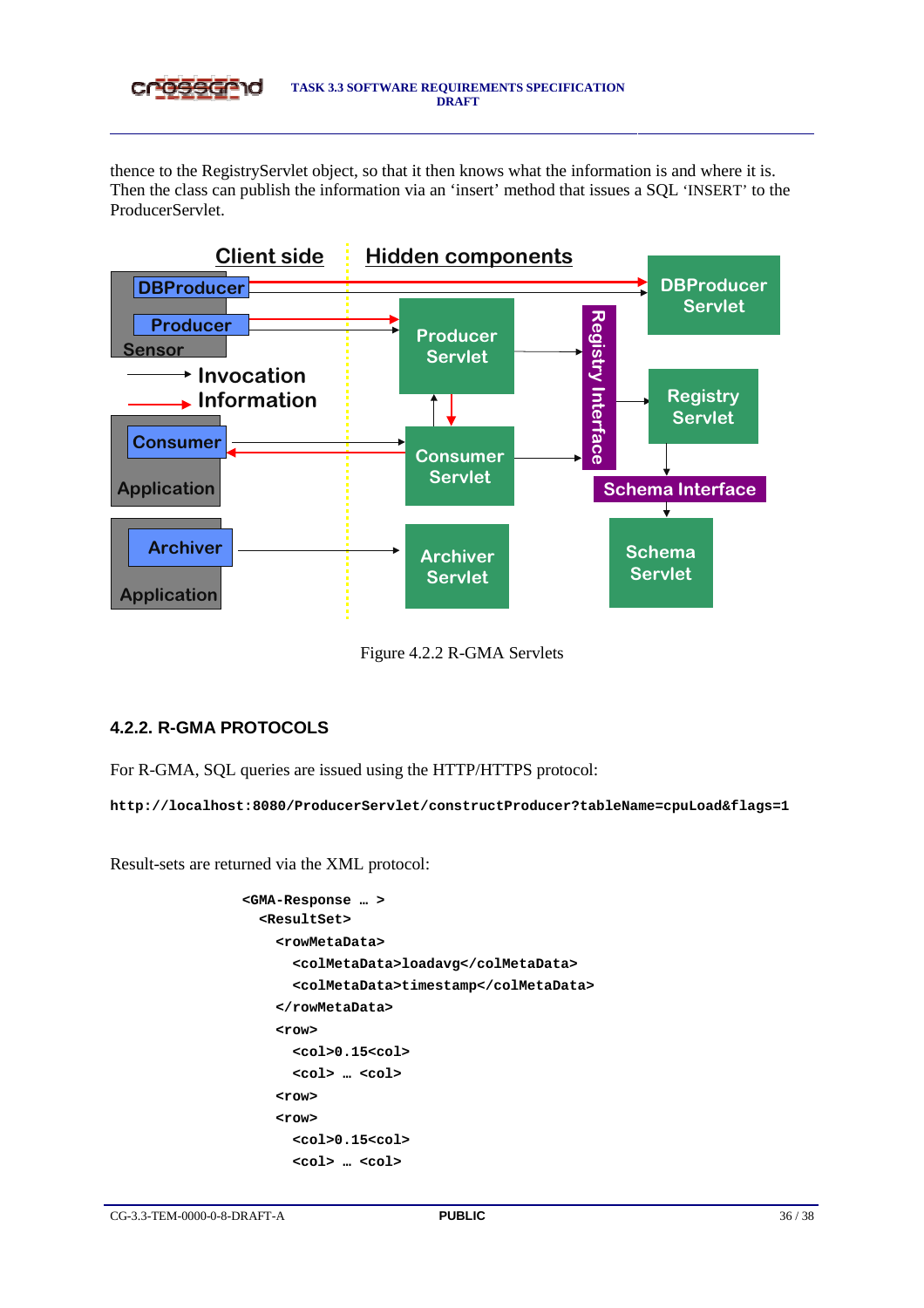thence to the RegistryServlet object, so that it then knows what the information is and where it is. Then the class can publish the information via an 'insert' method that issues a SQL 'INSERT' to the ProducerServlet.



Figure 4.2.2 R-GMA Servlets

# **4.2.2. R-GMA PROTOCOLS**

For R-GMA, SQL queries are issued using the HTTP/HTTPS protocol:

**http://localhost:8080/ProducerServlet/constructProducer?tableName=cpuLoad&flags=1**

Result-sets are returned via the XML protocol:

```
<GMA-Response … >
   <ResultSet>
     <rowMetaData>
       <colMetaData>loadavg</colMetaData>
       <colMetaData>timestamp</colMetaData>
     </rowMetaData>
     <row>
       <col>0.15<col>
       <col> … <col>
     <row>
     <row>
       <col>0.15<col>
       <col> … <col>
```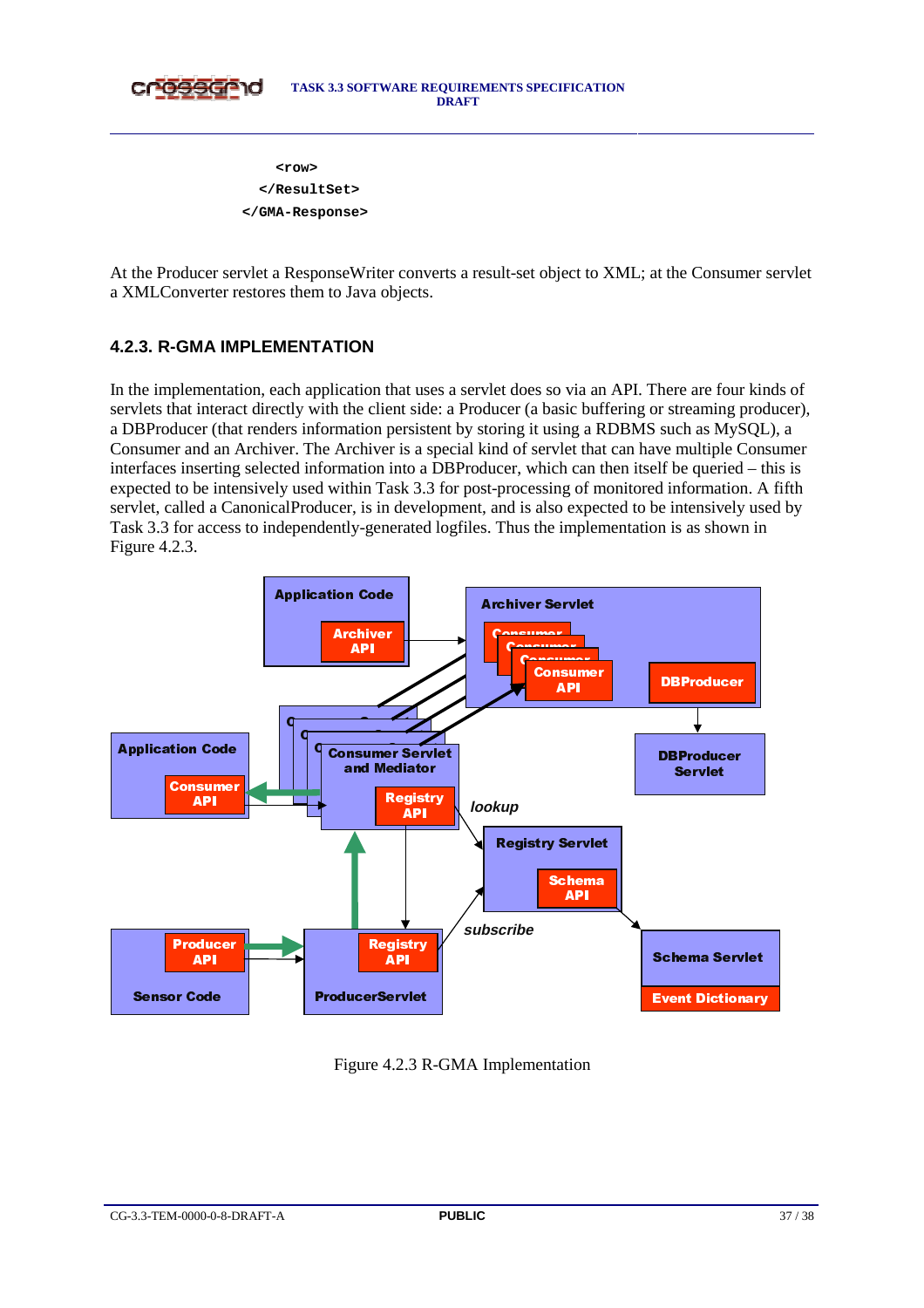

 **<row> </ResultSet> </GMA-Response>**

At the Producer servlet a ResponseWriter converts a result-set object to XML; at the Consumer servlet a XMLConverter restores them to Java objects.

## **4.2.3. R-GMA IMPLEMENTATION**

In the implementation, each application that uses a servlet does so via an API. There are four kinds of servlets that interact directly with the client side: a Producer (a basic buffering or streaming producer), a DBProducer (that renders information persistent by storing it using a RDBMS such as MySQL), a Consumer and an Archiver. The Archiver is a special kind of servlet that can have multiple Consumer interfaces inserting selected information into a DBProducer, which can then itself be queried – this is expected to be intensively used within Task 3.3 for post-processing of monitored information. A fifth servlet, called a CanonicalProducer, is in development, and is also expected to be intensively used by Task 3.3 for access to independently-generated logfiles. Thus the implementation is as shown in Figure 4.2.3.



Figure 4.2.3 R-GMA Implementation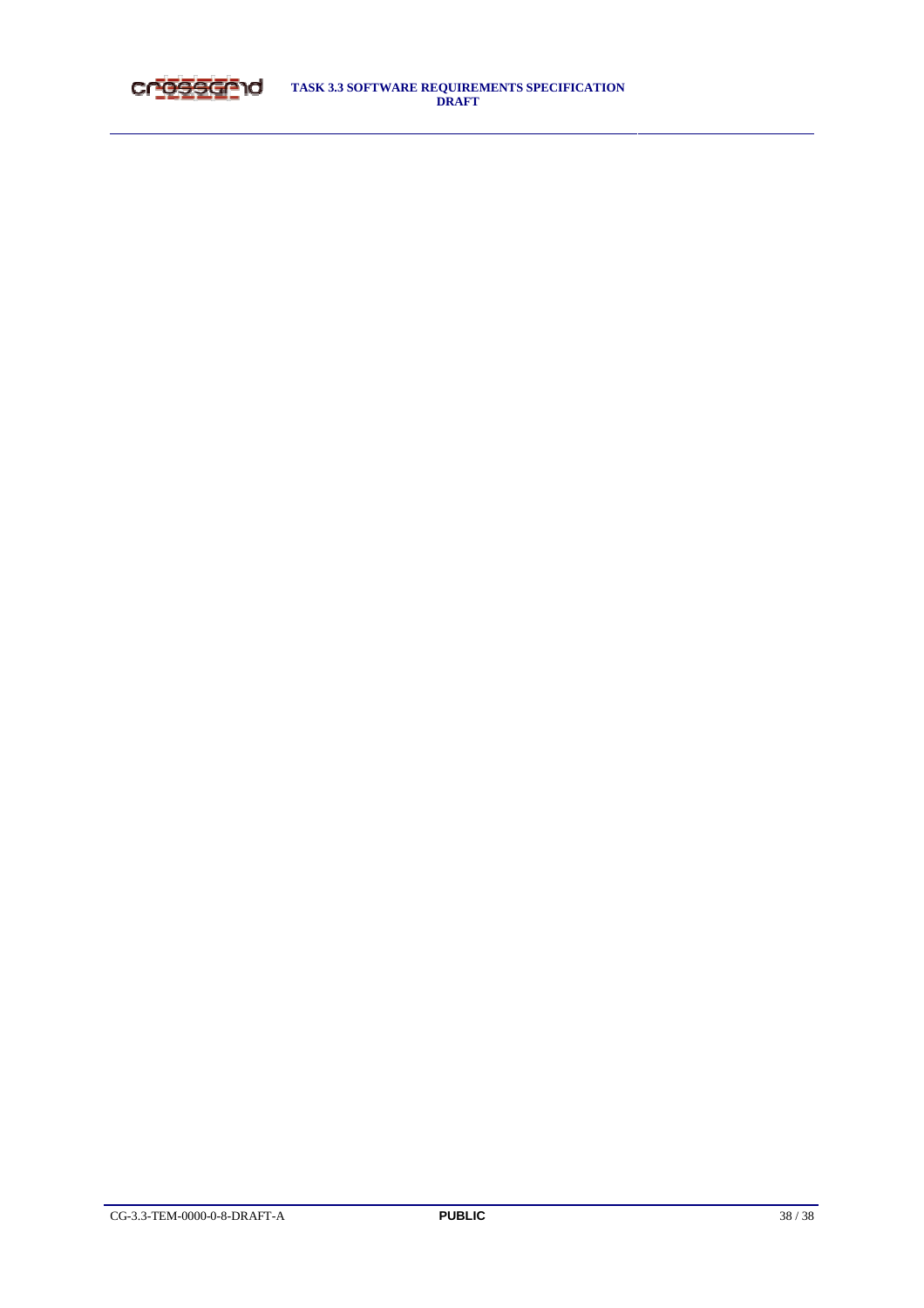